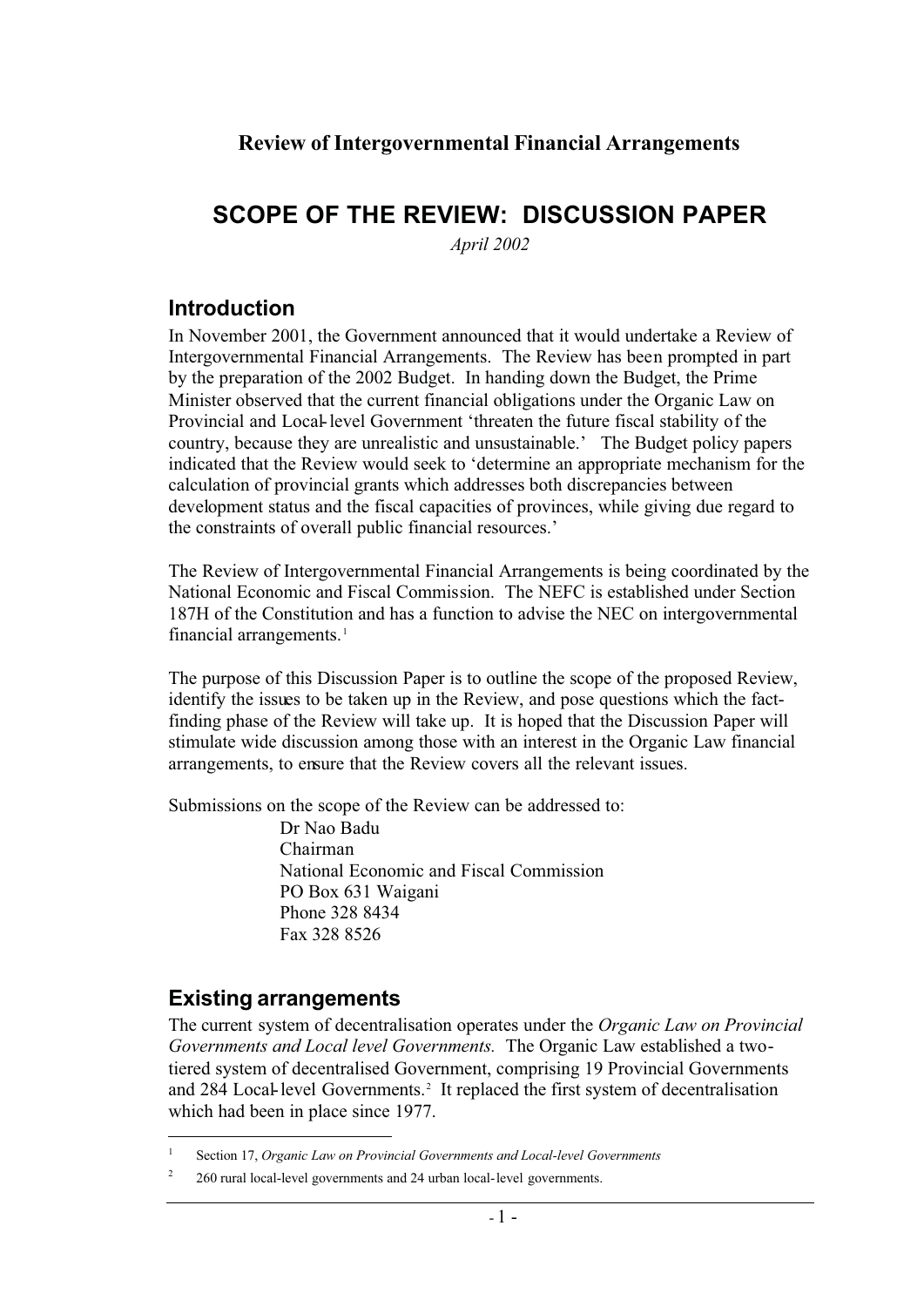## **Review of Intergovernmental Financial Arrangements**

# **SCOPE OF THE REVIEW: DISCUSSION PAPER**

*April 2002*

## **Introduction**

In November 2001, the Government announced that it would undertake a Review of Intergovernmental Financial Arrangements. The Review has been prompted in part by the preparation of the 2002 Budget. In handing down the Budget, the Prime Minister observed that the current financial obligations under the Organic Law on Provincial and Local-level Government 'threaten the future fiscal stability of the country, because they are unrealistic and unsustainable.' The Budget policy papers indicated that the Review would seek to 'determine an appropriate mechanism for the calculation of provincial grants which addresses both discrepancies between development status and the fiscal capacities of provinces, while giving due regard to the constraints of overall public financial resources.'

The Review of Intergovernmental Financial Arrangements is being coordinated by the National Economic and Fiscal Commission. The NEFC is established under Section 187H of the Constitution and has a function to advise the NEC on intergovernmental financial arrangements.<sup>1</sup>

The purpose of this Discussion Paper is to outline the scope of the proposed Review, identify the issues to be taken up in the Review, and pose questions which the factfinding phase of the Review will take up. It is hoped that the Discussion Paper will stimulate wide discussion among those with an interest in the Organic Law financial arrangements, to ensure that the Review covers all the relevant issues.

Submissions on the scope of the Review can be addressed to:

Dr Nao Badu Chairman National Economic and Fiscal Commission PO Box 631 Waigani Phone 328 8434 Fax 328 8526

## **Existing arrangements**

The current system of decentralisation operates under the *Organic Law on Provincial Governments and Local level Governments.* The Organic Law established a twotiered system of decentralised Government, comprising 19 Provincial Governments and 284 Local-level Governments.<sup>2</sup> It replaced the first system of decentralisation which had been in place since 1977.

<sup>1</sup> Section 17, *Organic Law on Provincial Governments and Local-level Governments*

<sup>&</sup>lt;sup>2</sup> 260 rural local-level governments and 24 urban local-level governments.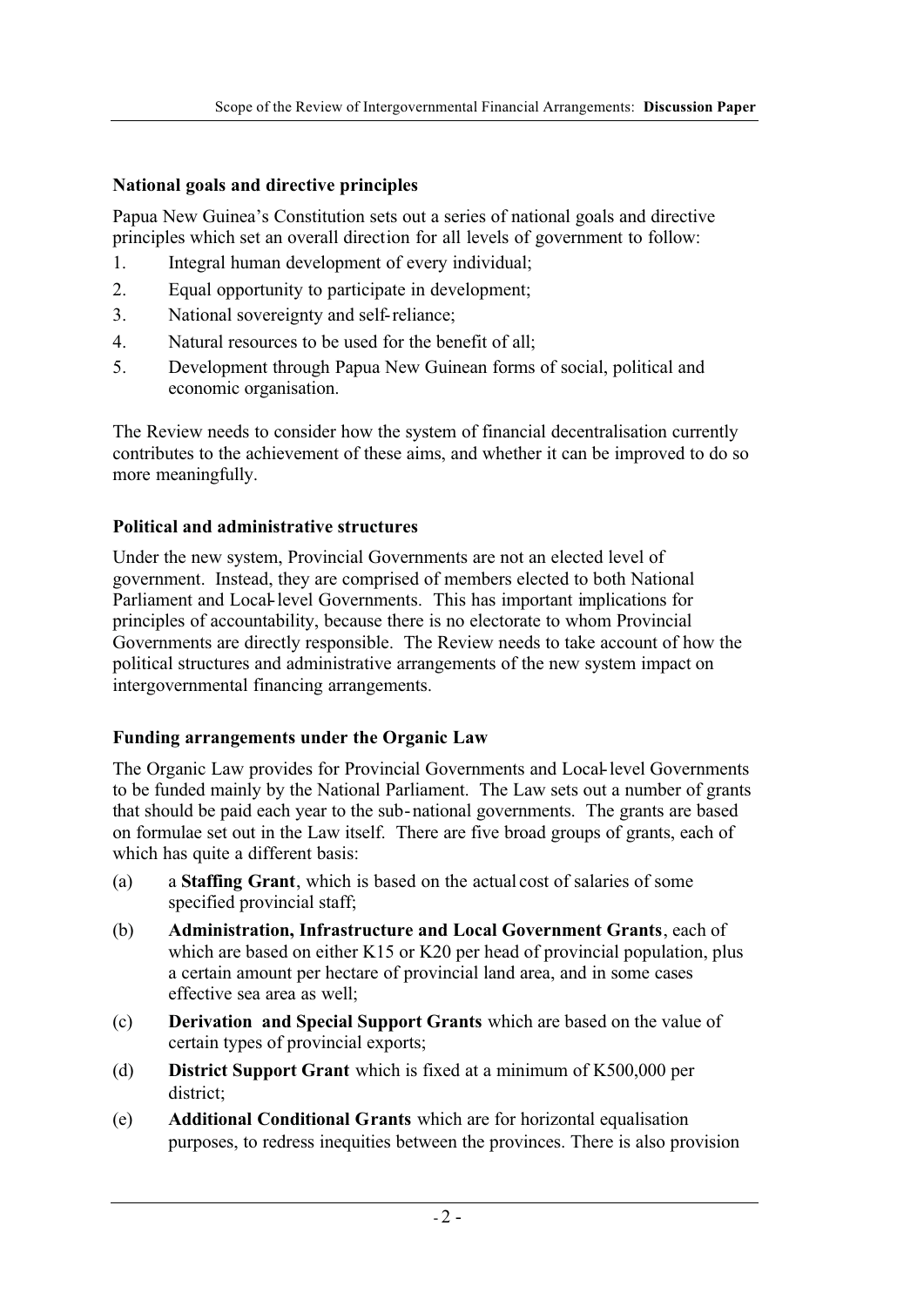## **National goals and directive principles**

Papua New Guinea's Constitution sets out a series of national goals and directive principles which set an overall direction for all levels of government to follow:

- 1. Integral human development of every individual;
- 2. Equal opportunity to participate in development;
- 3. National sovereignty and self-reliance;
- 4. Natural resources to be used for the benefit of all;
- 5. Development through Papua New Guinean forms of social, political and economic organisation.

The Review needs to consider how the system of financial decentralisation currently contributes to the achievement of these aims, and whether it can be improved to do so more meaningfully.

#### **Political and administrative structures**

Under the new system, Provincial Governments are not an elected level of government. Instead, they are comprised of members elected to both National Parliament and Local-level Governments. This has important implications for principles of accountability, because there is no electorate to whom Provincial Governments are directly responsible. The Review needs to take account of how the political structures and administrative arrangements of the new system impact on intergovernmental financing arrangements.

#### **Funding arrangements under the Organic Law**

The Organic Law provides for Provincial Governments and Local-level Governments to be funded mainly by the National Parliament. The Law sets out a number of grants that should be paid each year to the sub-national governments. The grants are based on formulae set out in the Law itself. There are five broad groups of grants, each of which has quite a different basis:

- (a) a **Staffing Grant**, which is based on the actual cost of salaries of some specified provincial staff;
- (b) **Administration, Infrastructure and Local Government Grants**, each of which are based on either K15 or K20 per head of provincial population, plus a certain amount per hectare of provincial land area, and in some cases effective sea area as well;
- (c) **Derivation and Special Support Grants** which are based on the value of certain types of provincial exports;
- (d) **District Support Grant** which is fixed at a minimum of K500,000 per district;
- (e) **Additional Conditional Grants** which are for horizontal equalisation purposes, to redress inequities between the provinces. There is also provision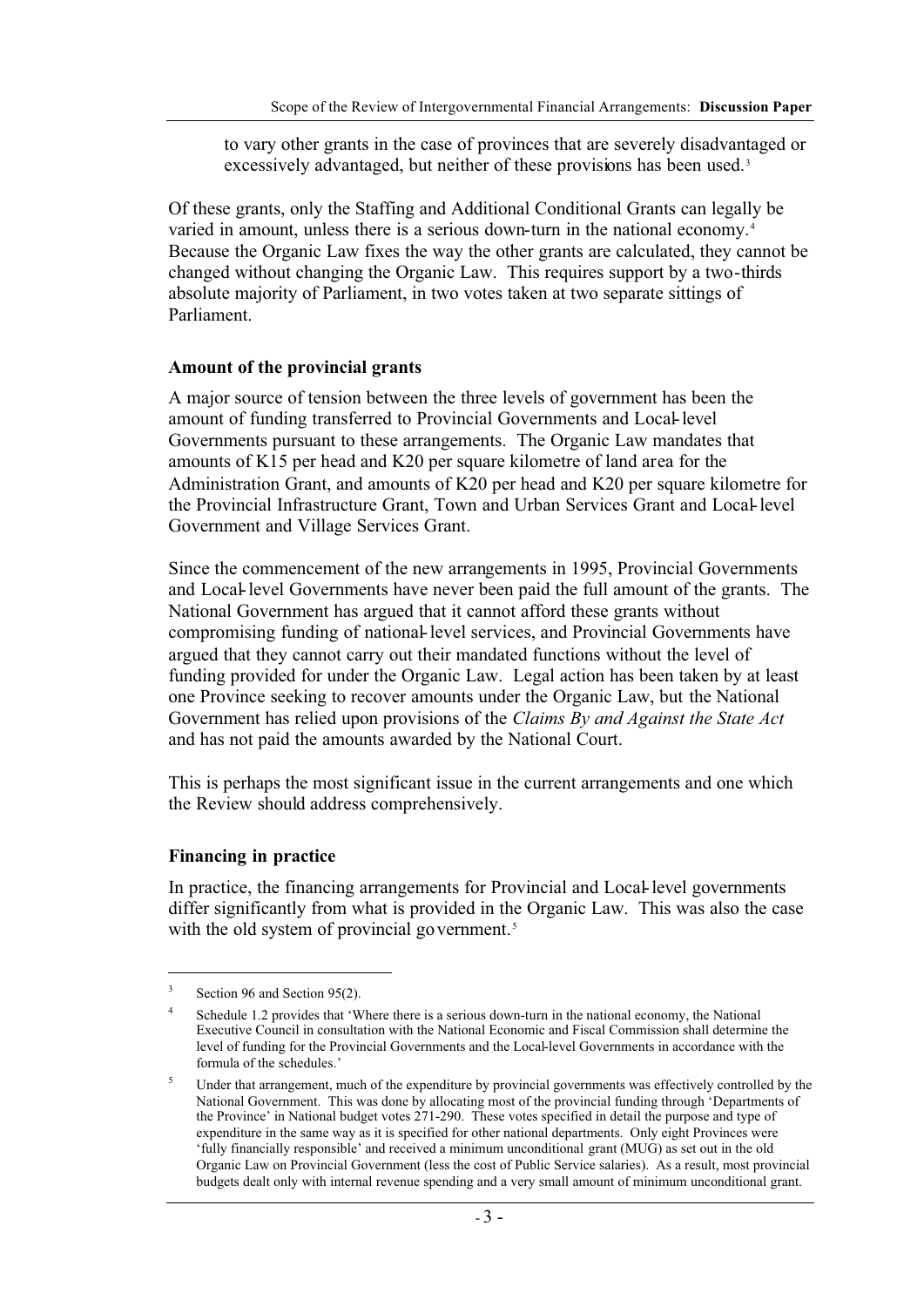to vary other grants in the case of provinces that are severely disadvantaged or excessively advantaged, but neither of these provisions has been used.<sup>3</sup>

Of these grants, only the Staffing and Additional Conditional Grants can legally be varied in amount, unless there is a serious down-turn in the national economy.<sup>4</sup> Because the Organic Law fixes the way the other grants are calculated, they cannot be changed without changing the Organic Law. This requires support by a two-thirds absolute majority of Parliament, in two votes taken at two separate sittings of Parliament.

#### **Amount of the provincial grants**

A major source of tension between the three levels of government has been the amount of funding transferred to Provincial Governments and Local-level Governments pursuant to these arrangements. The Organic Law mandates that amounts of K15 per head and K20 per square kilometre of land area for the Administration Grant, and amounts of K20 per head and K20 per square kilometre for the Provincial Infrastructure Grant, Town and Urban Services Grant and Local-level Government and Village Services Grant.

Since the commencement of the new arrangements in 1995, Provincial Governments and Local-level Governments have never been paid the full amount of the grants. The National Government has argued that it cannot afford these grants without compromising funding of national-level services, and Provincial Governments have argued that they cannot carry out their mandated functions without the level of funding provided for under the Organic Law. Legal action has been taken by at least one Province seeking to recover amounts under the Organic Law, but the National Government has relied upon provisions of the *Claims By and Against the State Act* and has not paid the amounts awarded by the National Court.

This is perhaps the most significant issue in the current arrangements and one which the Review should address comprehensively.

#### **Financing in practice**

In practice, the financing arrangements for Provincial and Local-level governments differ significantly from what is provided in the Organic Law. This was also the case with the old system of provincial government.<sup>5</sup>

 $3$  Section 96 and Section 95(2).

<sup>&</sup>lt;sup>4</sup> Schedule 1.2 provides that 'Where there is a serious down-turn in the national economy, the National Executive Council in consultation with the National Economic and Fiscal Commission shall determine the level of funding for the Provincial Governments and the Local-level Governments in accordance with the formula of the schedules.'

Under that arrangement, much of the expenditure by provincial governments was effectively controlled by the National Government. This was done by allocating most of the provincial funding through 'Departments of the Province' in National budget votes 271-290. These votes specified in detail the purpose and type of expenditure in the same way as it is specified for other national departments. Only eight Provinces were 'fully financially responsible' and received a minimum unconditional grant (MUG) as set out in the old Organic Law on Provincial Government (less the cost of Public Service salaries). As a result, most provincial budgets dealt only with internal revenue spending and a very small amount of minimum unconditional grant.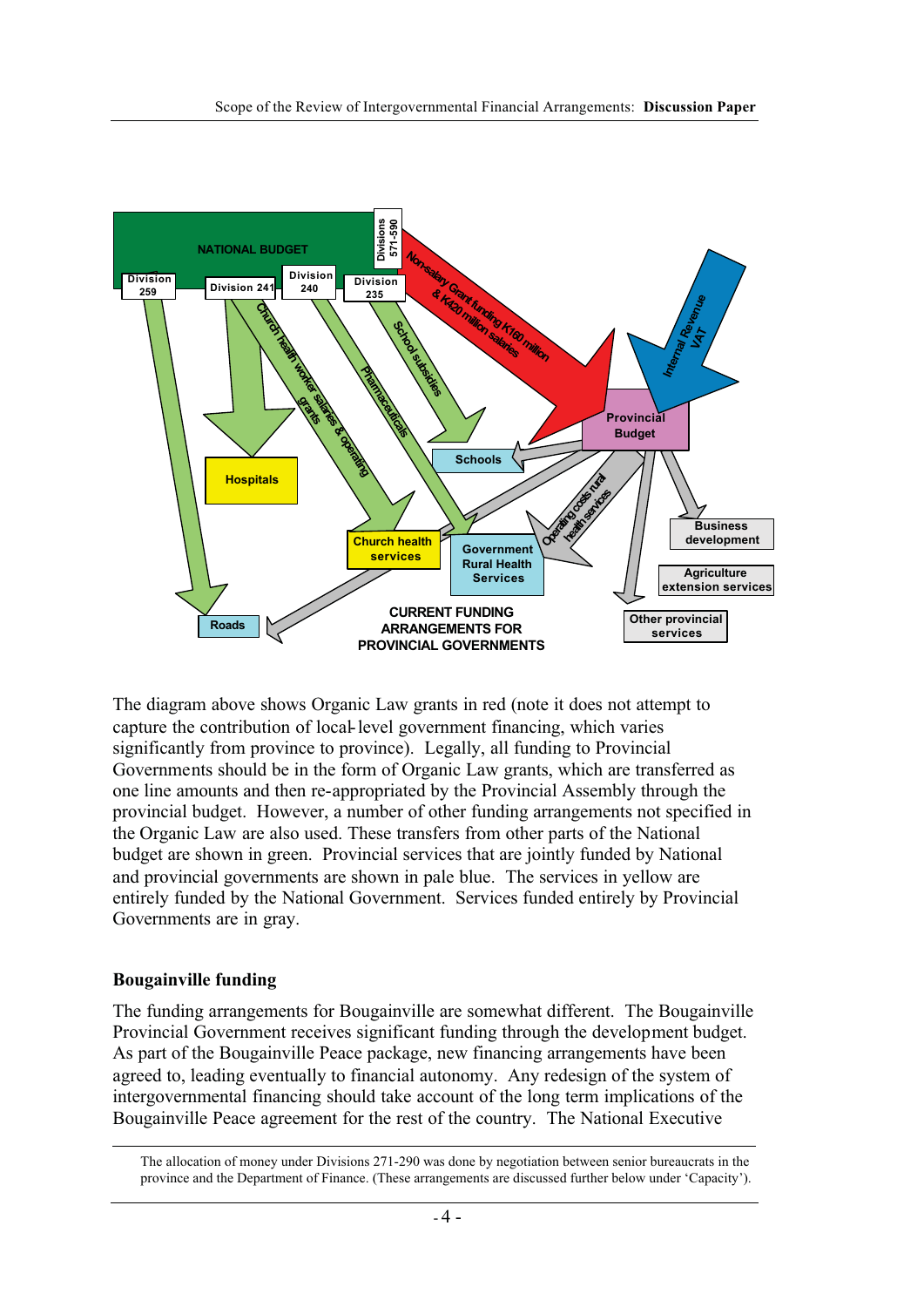

The diagram above shows Organic Law grants in red (note it does not attempt to capture the contribution of local-level government financing, which varies significantly from province to province). Legally, all funding to Provincial Governments should be in the form of Organic Law grants, which are transferred as one line amounts and then re-appropriated by the Provincial Assembly through the provincial budget. However, a number of other funding arrangements not specified in the Organic Law are also used. These transfers from other parts of the National budget are shown in green. Provincial services that are jointly funded by National and provincial governments are shown in pale blue. The services in yellow are entirely funded by the National Government. Services funded entirely by Provincial Governments are in gray.

#### **Bougainville funding**

The funding arrangements for Bougainville are somewhat different. The Bougainville Provincial Government receives significant funding through the development budget. As part of the Bougainville Peace package, new financing arrangements have been agreed to, leading eventually to financial autonomy. Any redesign of the system of intergovernmental financing should take account of the long term implications of the Bougainville Peace agreement for the rest of the country. The National Executive

The allocation of money under Divisions 271-290 was done by negotiation between senior bureaucrats in the province and the Department of Finance. (These arrangements are discussed further below under 'Capacity').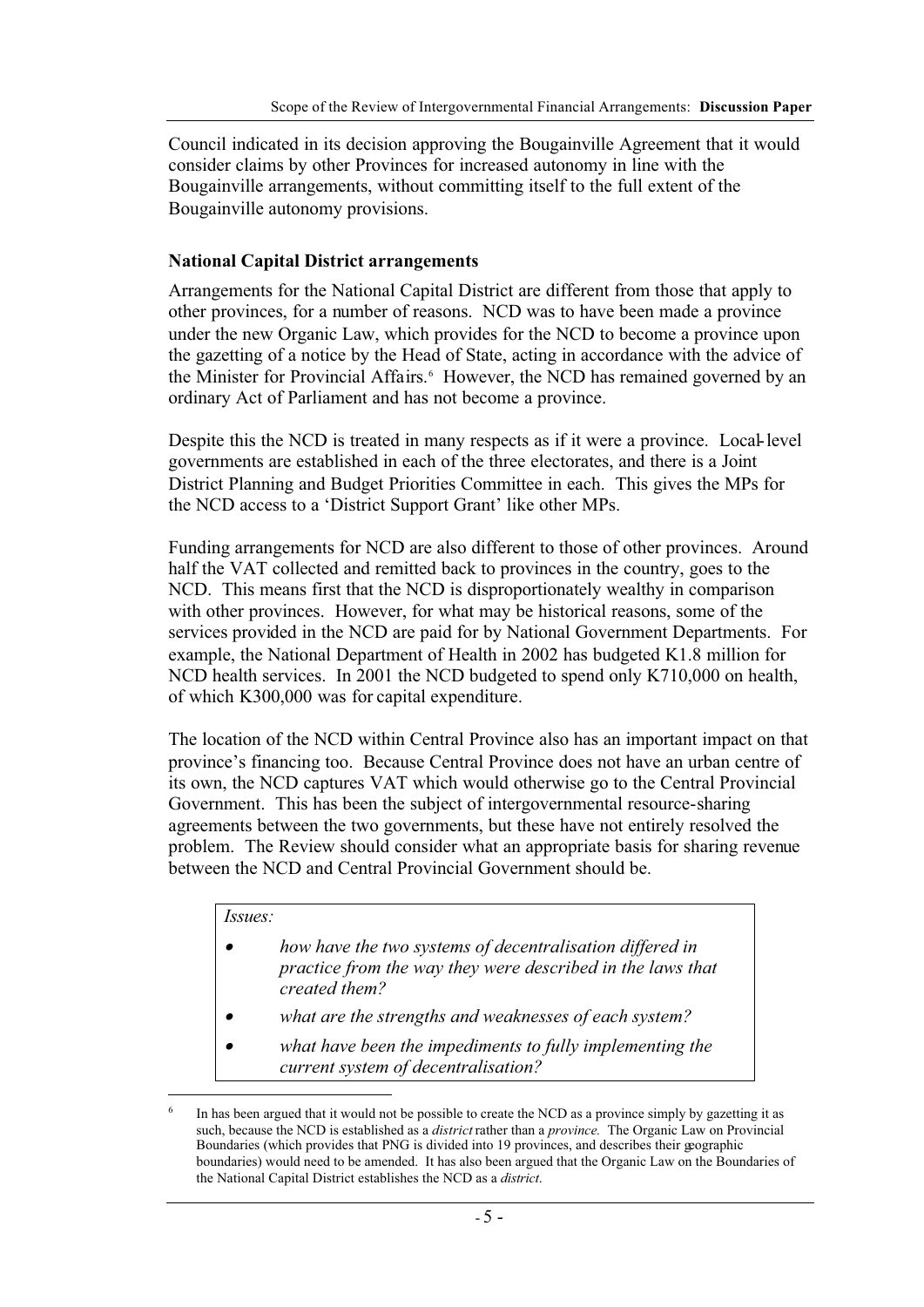Council indicated in its decision approving the Bougainville Agreement that it would consider claims by other Provinces for increased autonomy in line with the Bougainville arrangements, without committing itself to the full extent of the Bougainville autonomy provisions.

#### **National Capital District arrangements**

Arrangements for the National Capital District are different from those that apply to other provinces, for a number of reasons. NCD was to have been made a province under the new Organic Law, which provides for the NCD to become a province upon the gazetting of a notice by the Head of State, acting in accordance with the advice of the Minister for Provincial Affairs.<sup>6</sup> However, the NCD has remained governed by an ordinary Act of Parliament and has not become a province.

Despite this the NCD is treated in many respects as if it were a province. Local-level governments are established in each of the three electorates, and there is a Joint District Planning and Budget Priorities Committee in each. This gives the MPs for the NCD access to a 'District Support Grant' like other MPs.

Funding arrangements for NCD are also different to those of other provinces. Around half the VAT collected and remitted back to provinces in the country, goes to the NCD. This means first that the NCD is disproportionately wealthy in comparison with other provinces. However, for what may be historical reasons, some of the services provided in the NCD are paid for by National Government Departments. For example, the National Department of Health in 2002 has budgeted K1.8 million for NCD health services. In 2001 the NCD budgeted to spend only K710,000 on health, of which K300,000 was for capital expenditure.

The location of the NCD within Central Province also has an important impact on that province's financing too. Because Central Province does not have an urban centre of its own, the NCD captures VAT which would otherwise go to the Central Provincial Government. This has been the subject of intergovernmental resource-sharing agreements between the two governments, but these have not entirely resolved the problem. The Review should consider what an appropriate basis for sharing revenue between the NCD and Central Provincial Government should be.

#### *Issues:*

- • *how have the two systems of decentralisation differed in practice from the way they were described in the laws that created them?*
- •*what are the strengths and weaknesses of each system?*
- • *what have been the impediments to fully implementing the current system of decentralisation?*

In has been argued that it would not be possible to create the NCD as a province simply by gazetting it as such, because the NCD is established as a *district* rather than a *province.* The Organic Law on Provincial Boundaries (which provides that PNG is divided into 19 provinces, and describes their geographic boundaries) would need to be amended. It has also been argued that the Organic Law on the Boundaries of the National Capital District establishes the NCD as a *district*.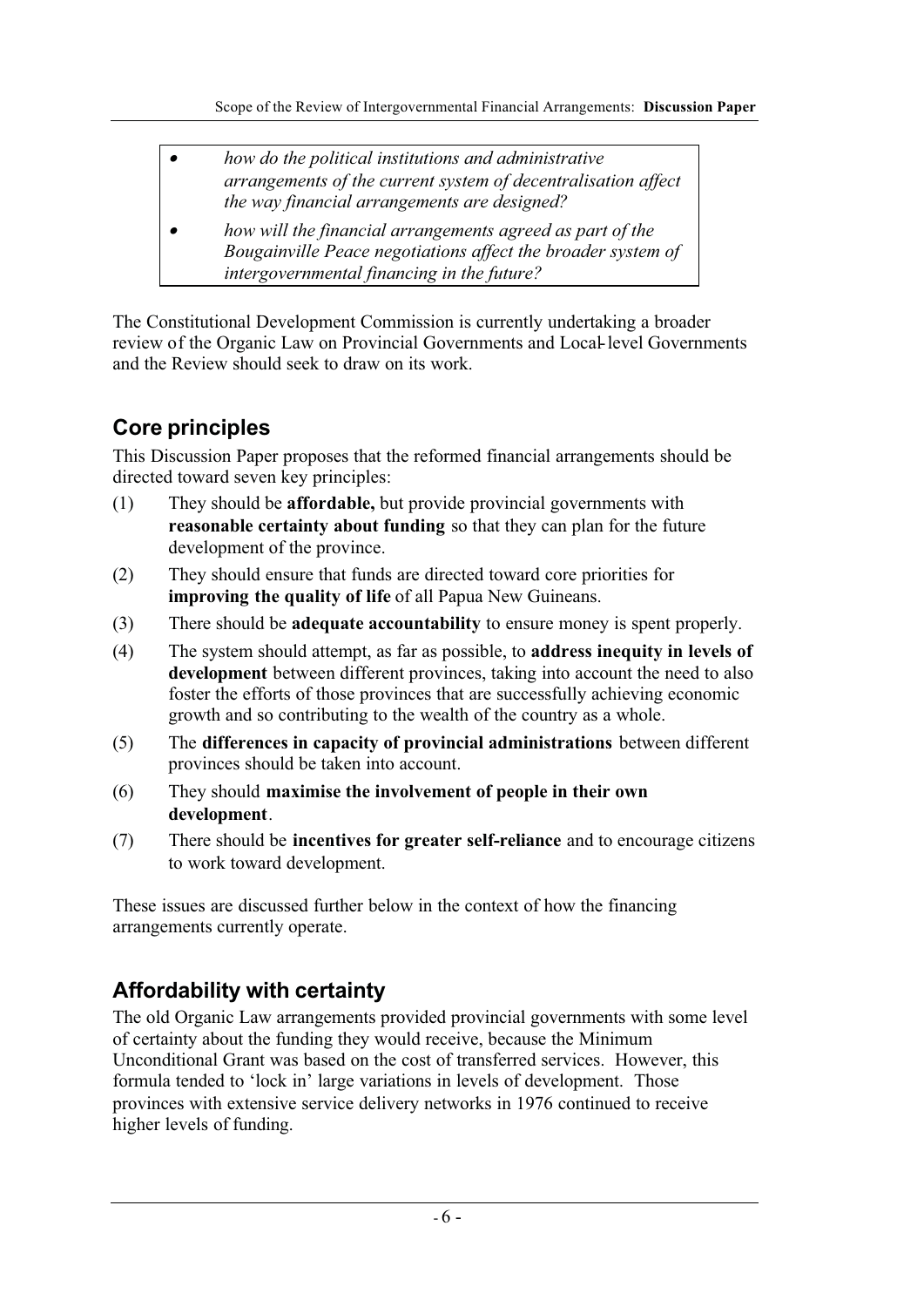- • *how do the political institutions and administrative arrangements of the current system of decentralisation affect the way financial arrangements are designed?*
- • *how will the financial arrangements agreed as part of the Bougainville Peace negotiations affect the broader system of intergovernmental financing in the future?*

The Constitutional Development Commission is currently undertaking a broader review of the Organic Law on Provincial Governments and Local-level Governments and the Review should seek to draw on its work.

# **Core principles**

This Discussion Paper proposes that the reformed financial arrangements should be directed toward seven key principles:

- (1) They should be **affordable,** but provide provincial governments with **reasonable certainty about funding** so that they can plan for the future development of the province.
- (2) They should ensure that funds are directed toward core priorities for **improving the quality of life** of all Papua New Guineans.
- (3) There should be **adequate accountability** to ensure money is spent properly.
- (4) The system should attempt, as far as possible, to **address inequity in levels of development** between different provinces, taking into account the need to also foster the efforts of those provinces that are successfully achieving economic growth and so contributing to the wealth of the country as a whole.
- (5) The **differences in capacity of provincial administrations** between different provinces should be taken into account.
- (6) They should **maximise the involvement of people in their own development**.
- (7) There should be **incentives for greater self-reliance** and to encourage citizens to work toward development.

These issues are discussed further below in the context of how the financing arrangements currently operate.

# **Affordability with certainty**

The old Organic Law arrangements provided provincial governments with some level of certainty about the funding they would receive, because the Minimum Unconditional Grant was based on the cost of transferred services. However, this formula tended to 'lock in' large variations in levels of development. Those provinces with extensive service delivery networks in 1976 continued to receive higher levels of funding.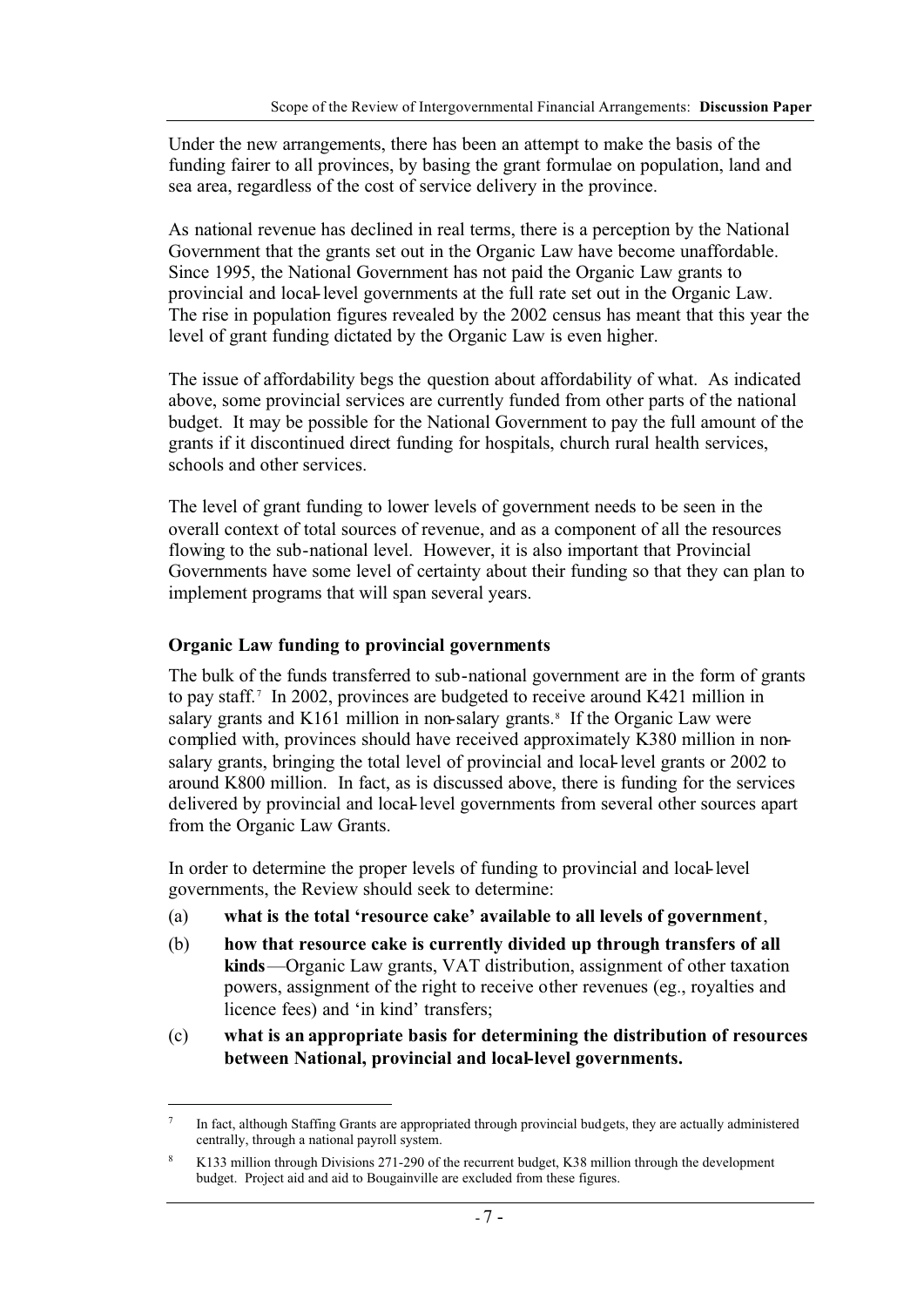Under the new arrangements, there has been an attempt to make the basis of the funding fairer to all provinces, by basing the grant formulae on population, land and sea area, regardless of the cost of service delivery in the province.

As national revenue has declined in real terms, there is a perception by the National Government that the grants set out in the Organic Law have become unaffordable. Since 1995, the National Government has not paid the Organic Law grants to provincial and local-level governments at the full rate set out in the Organic Law. The rise in population figures revealed by the 2002 census has meant that this year the level of grant funding dictated by the Organic Law is even higher.

The issue of affordability begs the question about affordability of what. As indicated above, some provincial services are currently funded from other parts of the national budget. It may be possible for the National Government to pay the full amount of the grants if it discontinued direct funding for hospitals, church rural health services, schools and other services.

The level of grant funding to lower levels of government needs to be seen in the overall context of total sources of revenue, and as a component of all the resources flowing to the sub-national level. However, it is also important that Provincial Governments have some level of certainty about their funding so that they can plan to implement programs that will span several years.

#### **Organic Law funding to provincial governments**

The bulk of the funds transferred to sub-national government are in the form of grants to pay staff.7 In 2002, provinces are budgeted to receive around K421 million in salary grants and  $K161$  million in non-salary grants.<sup>8</sup> If the Organic Law were complied with, provinces should have received approximately K380 million in nonsalary grants, bringing the total level of provincial and local-level grants or 2002 to around K800 million. In fact, as is discussed above, there is funding for the services delivered by provincial and local-level governments from several other sources apart from the Organic Law Grants.

In order to determine the proper levels of funding to provincial and local-level governments, the Review should seek to determine:

- (a) **what is the total 'resource cake' available to all levels of government**,
- (b) **how that resource cake is currently divided up through transfers of all kinds**—Organic Law grants, VAT distribution, assignment of other taxation powers, assignment of the right to receive other revenues (eg., royalties and licence fees) and 'in kind' transfers;
- (c) **what is an appropriate basis for determining the distribution of resources between National, provincial and local-level governments.**

In fact, although Staffing Grants are appropriated through provincial budgets, they are actually administered centrally, through a national payroll system.

<sup>8</sup> K133 million through Divisions 271-290 of the recurrent budget, K38 million through the development budget. Project aid and aid to Bougainville are excluded from these figures.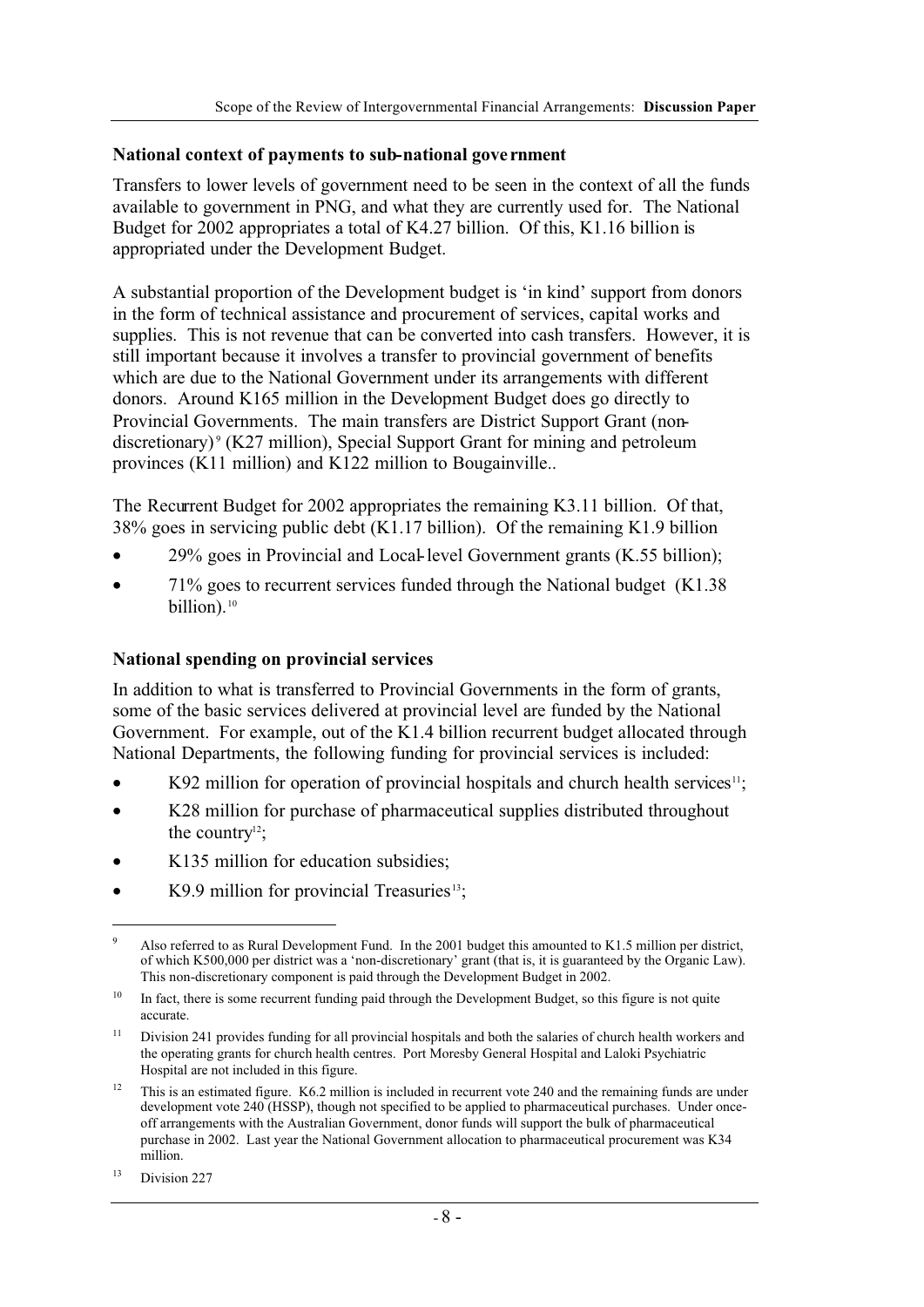#### **National context of payments to sub-national gove rnment**

Transfers to lower levels of government need to be seen in the context of all the funds available to government in PNG, and what they are currently used for. The National Budget for 2002 appropriates a total of K4.27 billion. Of this, K1.16 billion is appropriated under the Development Budget.

A substantial proportion of the Development budget is 'in kind' support from donors in the form of technical assistance and procurement of services, capital works and supplies. This is not revenue that can be converted into cash transfers. However, it is still important because it involves a transfer to provincial government of benefits which are due to the National Government under its arrangements with different donors. Around K165 million in the Development Budget does go directly to Provincial Governments. The main transfers are District Support Grant (nondiscretionary)<sup>9</sup> (K27 million), Special Support Grant for mining and petroleum provinces (K11 million) and K122 million to Bougainville..

The Recurrent Budget for 2002 appropriates the remaining K3.11 billion. Of that, 38% goes in servicing public debt (K1.17 billion). Of the remaining K1.9 billion

- 29% goes in Provincial and Local-level Government grants (K.55 billion);
- 71% goes to recurrent services funded through the National budget (K1.38 billion).<sup>10</sup>

#### **National spending on provincial services**

In addition to what is transferred to Provincial Governments in the form of grants, some of the basic services delivered at provincial level are funded by the National Government. For example, out of the K1.4 billion recurrent budget allocated through National Departments, the following funding for provincial services is included:

- $K92$  million for operation of provincial hospitals and church health services<sup>11</sup>;
- K28 million for purchase of pharmaceutical supplies distributed throughout the country $12$ ;
- K135 million for education subsidies:
- $K9.9$  million for provincial Treasuries<sup>13</sup>;

<sup>9</sup> Also referred to as Rural Development Fund. In the 2001 budget this amounted to K1.5 million per district, of which K500,000 per district was a 'non-discretionary' grant (that is, it is guaranteed by the Organic Law). This non-discretionary component is paid through the Development Budget in 2002.

<sup>&</sup>lt;sup>10</sup> In fact, there is some recurrent funding paid through the Development Budget, so this figure is not quite accurate.

<sup>&</sup>lt;sup>11</sup> Division 241 provides funding for all provincial hospitals and both the salaries of church health workers and the operating grants for church health centres. Port Moresby General Hospital and Laloki Psychiatric Hospital are not included in this figure.

 $12$  This is an estimated figure. K6.2 million is included in recurrent vote 240 and the remaining funds are under development vote 240 (HSSP), though not specified to be applied to pharmaceutical purchases. Under onceoff arrangements with the Australian Government, donor funds will support the bulk of pharmaceutical purchase in 2002. Last year the National Government allocation to pharmaceutical procurement was K34 million.

<sup>&</sup>lt;sup>13</sup> Division 227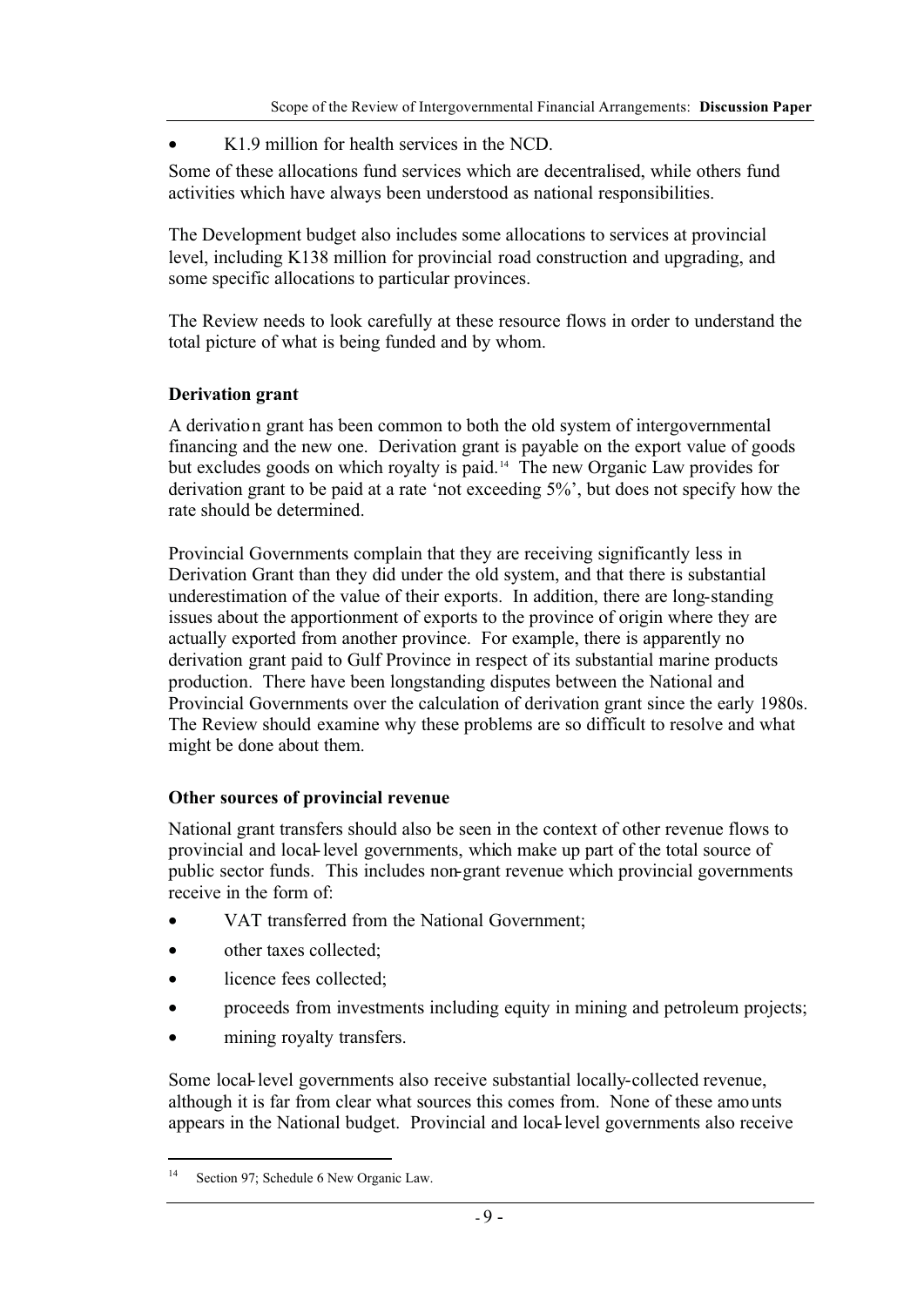• K1.9 million for health services in the NCD.

Some of these allocations fund services which are decentralised, while others fund activities which have always been understood as national responsibilities.

The Development budget also includes some allocations to services at provincial level, including K138 million for provincial road construction and upgrading, and some specific allocations to particular provinces.

The Review needs to look carefully at these resource flows in order to understand the total picture of what is being funded and by whom.

#### **Derivation grant**

A derivation grant has been common to both the old system of intergovernmental financing and the new one. Derivation grant is payable on the export value of goods but excludes goods on which royalty is paid.14 The new Organic Law provides for derivation grant to be paid at a rate 'not exceeding 5%', but does not specify how the rate should be determined.

Provincial Governments complain that they are receiving significantly less in Derivation Grant than they did under the old system, and that there is substantial underestimation of the value of their exports. In addition, there are long-standing issues about the apportionment of exports to the province of origin where they are actually exported from another province. For example, there is apparently no derivation grant paid to Gulf Province in respect of its substantial marine products production. There have been longstanding disputes between the National and Provincial Governments over the calculation of derivation grant since the early 1980s. The Review should examine why these problems are so difficult to resolve and what might be done about them.

## **Other sources of provincial revenue**

National grant transfers should also be seen in the context of other revenue flows to provincial and local-level governments, which make up part of the total source of public sector funds. This includes non-grant revenue which provincial governments receive in the form of:

- VAT transferred from the National Government;
- other taxes collected:
- licence fees collected:
- proceeds from investments including equity in mining and petroleum projects;
- mining royalty transfers.

Some local-level governments also receive substantial locally-collected revenue, although it is far from clear what sources this comes from. None of these amounts appears in the National budget. Provincial and local-level governments also receive

<sup>&</sup>lt;sup>14</sup> Section 97; Schedule 6 New Organic Law.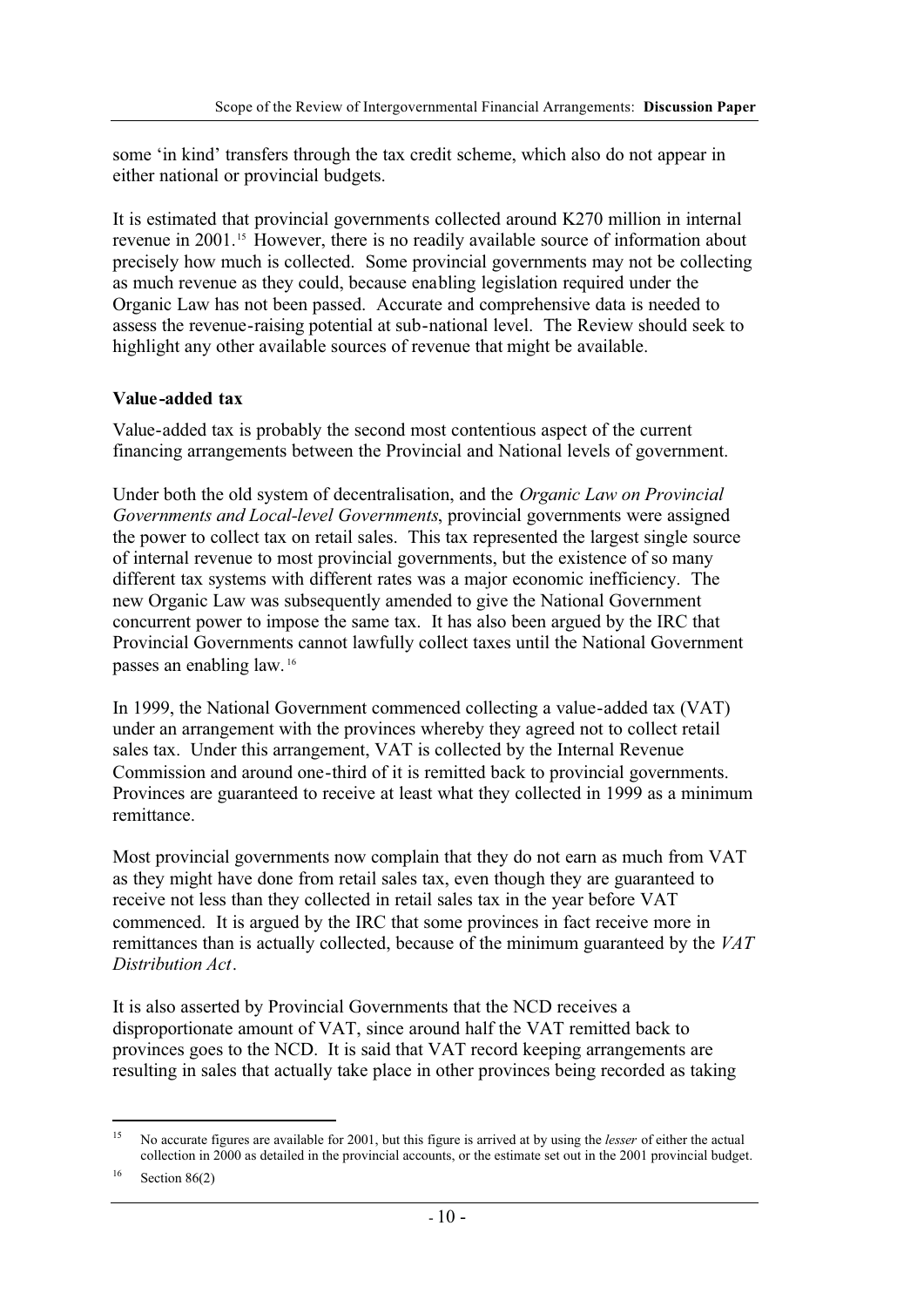some 'in kind' transfers through the tax credit scheme, which also do not appear in either national or provincial budgets.

It is estimated that provincial governments collected around K270 million in internal revenue in 2001.15 However, there is no readily available source of information about precisely how much is collected. Some provincial governments may not be collecting as much revenue as they could, because enabling legislation required under the Organic Law has not been passed. Accurate and comprehensive data is needed to assess the revenue-raising potential at sub-national level. The Review should seek to highlight any other available sources of revenue that might be available.

## **Value-added tax**

Value-added tax is probably the second most contentious aspect of the current financing arrangements between the Provincial and National levels of government.

Under both the old system of decentralisation, and the *Organic Law on Provincial Governments and Local-level Governments*, provincial governments were assigned the power to collect tax on retail sales. This tax represented the largest single source of internal revenue to most provincial governments, but the existence of so many different tax systems with different rates was a major economic inefficiency. The new Organic Law was subsequently amended to give the National Government concurrent power to impose the same tax. It has also been argued by the IRC that Provincial Governments cannot lawfully collect taxes until the National Government passes an enabling law. <sup>16</sup>

In 1999, the National Government commenced collecting a value-added tax (VAT) under an arrangement with the provinces whereby they agreed not to collect retail sales tax. Under this arrangement, VAT is collected by the Internal Revenue Commission and around one-third of it is remitted back to provincial governments. Provinces are guaranteed to receive at least what they collected in 1999 as a minimum remittance.

Most provincial governments now complain that they do not earn as much from VAT as they might have done from retail sales tax, even though they are guaranteed to receive not less than they collected in retail sales tax in the year before VAT commenced. It is argued by the IRC that some provinces in fact receive more in remittances than is actually collected, because of the minimum guaranteed by the *VAT Distribution Act*.

It is also asserted by Provincial Governments that the NCD receives a disproportionate amount of VAT, since around half the VAT remitted back to provinces goes to the NCD. It is said that VAT record keeping arrangements are resulting in sales that actually take place in other provinces being recorded as taking

 $16$  Section 86(2)

<sup>15</sup> No accurate figures are available for 2001, but this figure is arrived at by using the *lesser* of either the actual collection in 2000 as detailed in the provincial accounts, or the estimate set out in the 2001 provincial budget.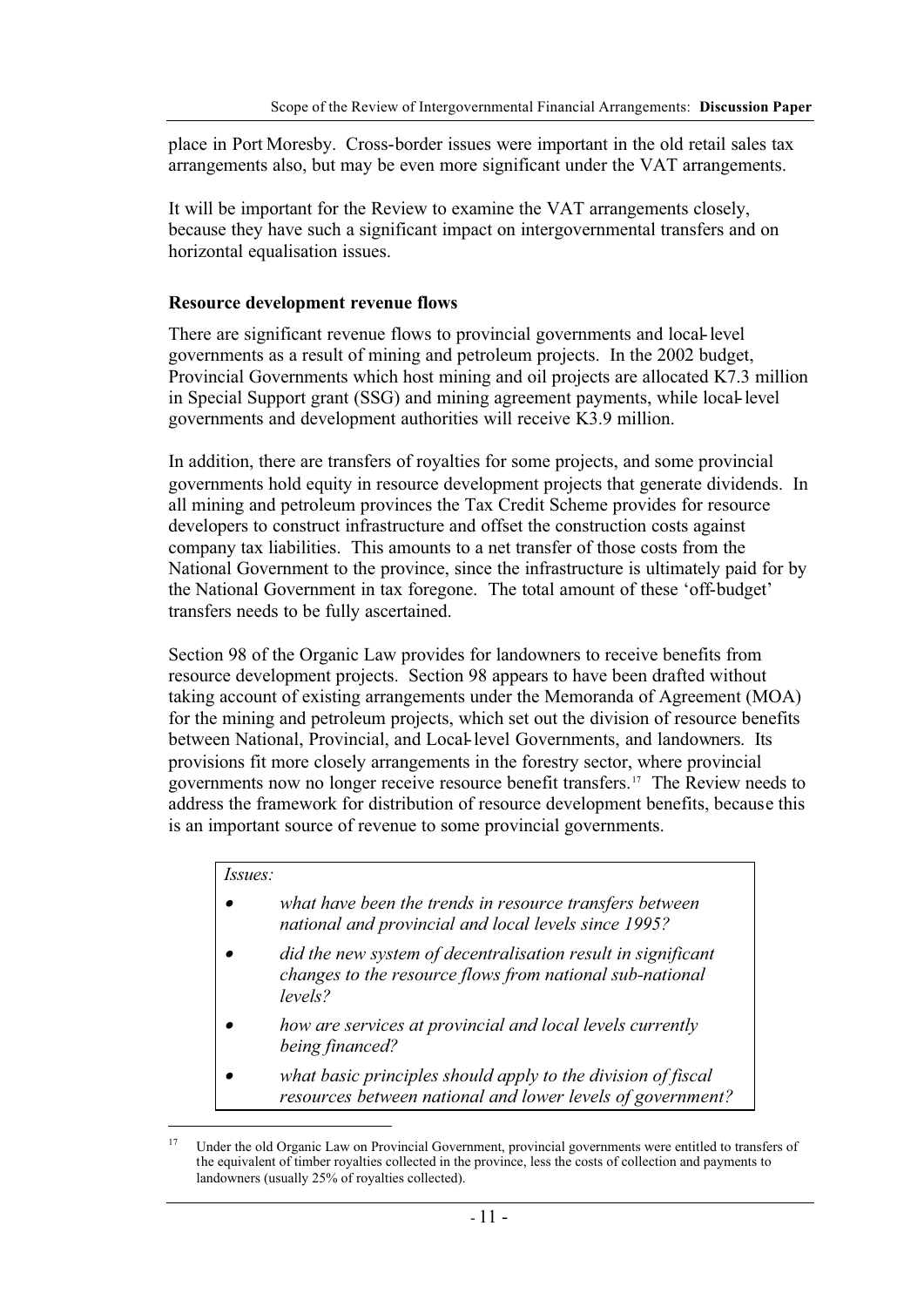place in Port Moresby. Cross-border issues were important in the old retail sales tax arrangements also, but may be even more significant under the VAT arrangements.

It will be important for the Review to examine the VAT arrangements closely, because they have such a significant impact on intergovernmental transfers and on horizontal equalisation issues.

#### **Resource development revenue flows**

There are significant revenue flows to provincial governments and local-level governments as a result of mining and petroleum projects. In the 2002 budget, Provincial Governments which host mining and oil projects are allocated K7.3 million in Special Support grant (SSG) and mining agreement payments, while local-level governments and development authorities will receive K3.9 million.

In addition, there are transfers of royalties for some projects, and some provincial governments hold equity in resource development projects that generate dividends. In all mining and petroleum provinces the Tax Credit Scheme provides for resource developers to construct infrastructure and offset the construction costs against company tax liabilities. This amounts to a net transfer of those costs from the National Government to the province, since the infrastructure is ultimately paid for by the National Government in tax foregone. The total amount of these 'off-budget' transfers needs to be fully ascertained.

Section 98 of the Organic Law provides for landowners to receive benefits from resource development projects. Section 98 appears to have been drafted without taking account of existing arrangements under the Memoranda of Agreement (MOA) for the mining and petroleum projects, which set out the division of resource benefits between National, Provincial, and Local-level Governments, and landowners. Its provisions fit more closely arrangements in the forestry sector, where provincial governments now no longer receive resource benefit transfers.17 The Review needs to address the framework for distribution of resource development benefits, because this is an important source of revenue to some provincial governments.

#### *Issues:*

- • *what have been the trends in resource transfers between national and provincial and local levels since 1995?*
- • *did the new system of decentralisation result in significant changes to the resource flows from national sub-national levels?*
- • *how are services at provincial and local levels currently being financed?*
- • *what basic principles should apply to the division of fiscal resources between national and lower levels of government?*

<sup>&</sup>lt;sup>17</sup> Under the old Organic Law on Provincial Government, provincial governments were entitled to transfers of the equivalent of timber royalties collected in the province, less the costs of collection and payments to landowners (usually 25% of royalties collected).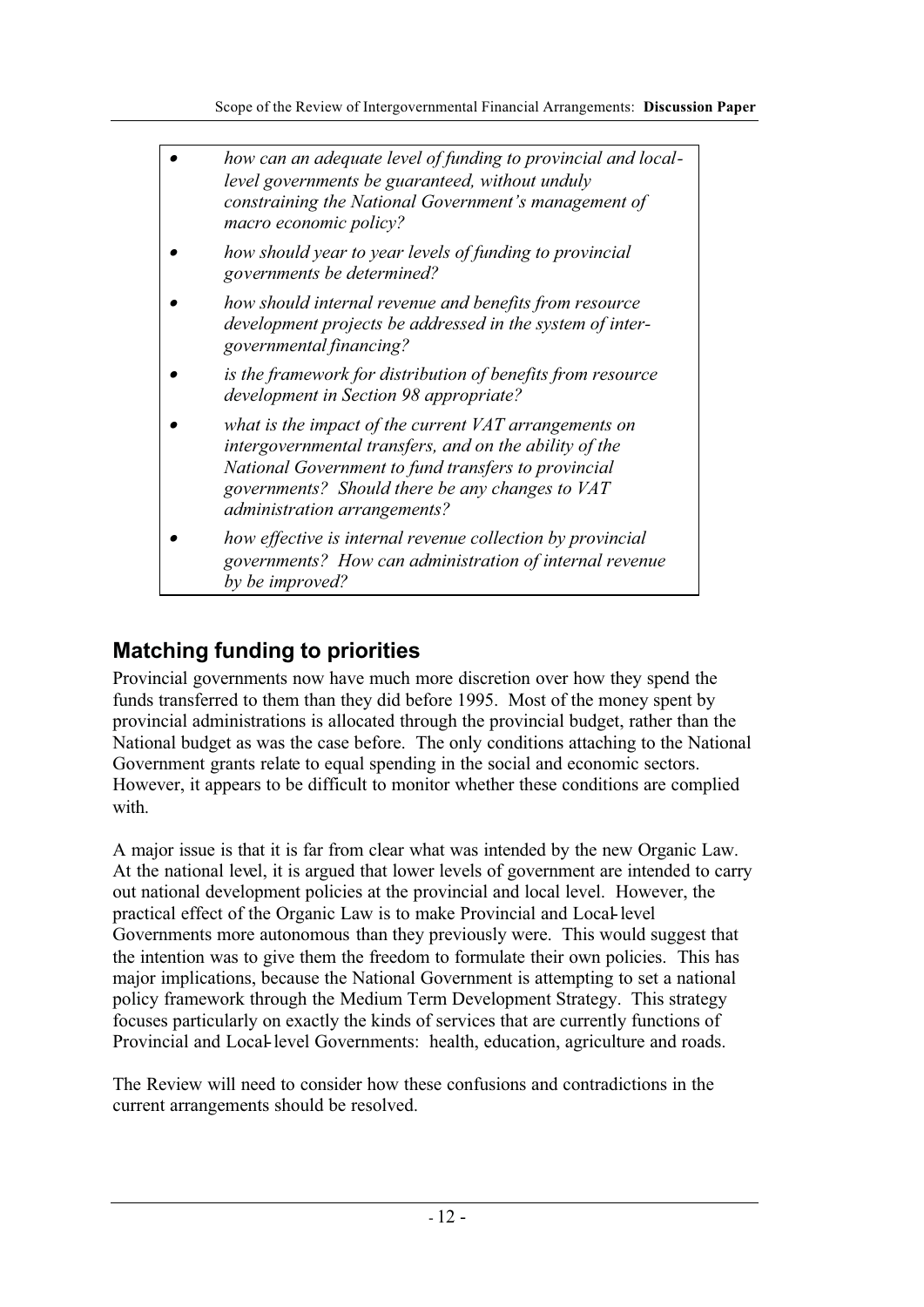| how can an adequate level of funding to provincial and local-<br>level governments be guaranteed, without unduly<br>constraining the National Government's management of<br>macro economic policy?                                                        |
|-----------------------------------------------------------------------------------------------------------------------------------------------------------------------------------------------------------------------------------------------------------|
| how should year to year levels of funding to provincial<br>governments be determined?                                                                                                                                                                     |
| how should internal revenue and benefits from resource<br>development projects be addressed in the system of inter-<br>governmental financing?                                                                                                            |
| is the framework for distribution of benefits from resource<br>development in Section 98 appropriate?                                                                                                                                                     |
| what is the impact of the current VAT arrangements on<br>intergovernmental transfers, and on the ability of the<br>National Government to fund transfers to provincial<br>governments? Should there be any changes to VAT<br>administration arrangements? |
| how effective is internal revenue collection by provincial<br>governments? How can administration of internal revenue<br>by be improved?                                                                                                                  |

# **Matching funding to priorities**

Provincial governments now have much more discretion over how they spend the funds transferred to them than they did before 1995. Most of the money spent by provincial administrations is allocated through the provincial budget, rather than the National budget as was the case before. The only conditions attaching to the National Government grants relate to equal spending in the social and economic sectors. However, it appears to be difficult to monitor whether these conditions are complied with.

A major issue is that it is far from clear what was intended by the new Organic Law. At the national level, it is argued that lower levels of government are intended to carry out national development policies at the provincial and local level. However, the practical effect of the Organic Law is to make Provincial and Local-level Governments more autonomous than they previously were. This would suggest that the intention was to give them the freedom to formulate their own policies. This has major implications, because the National Government is attempting to set a national policy framework through the Medium Term Development Strategy. This strategy focuses particularly on exactly the kinds of services that are currently functions of Provincial and Local-level Governments: health, education, agriculture and roads.

The Review will need to consider how these confusions and contradictions in the current arrangements should be resolved.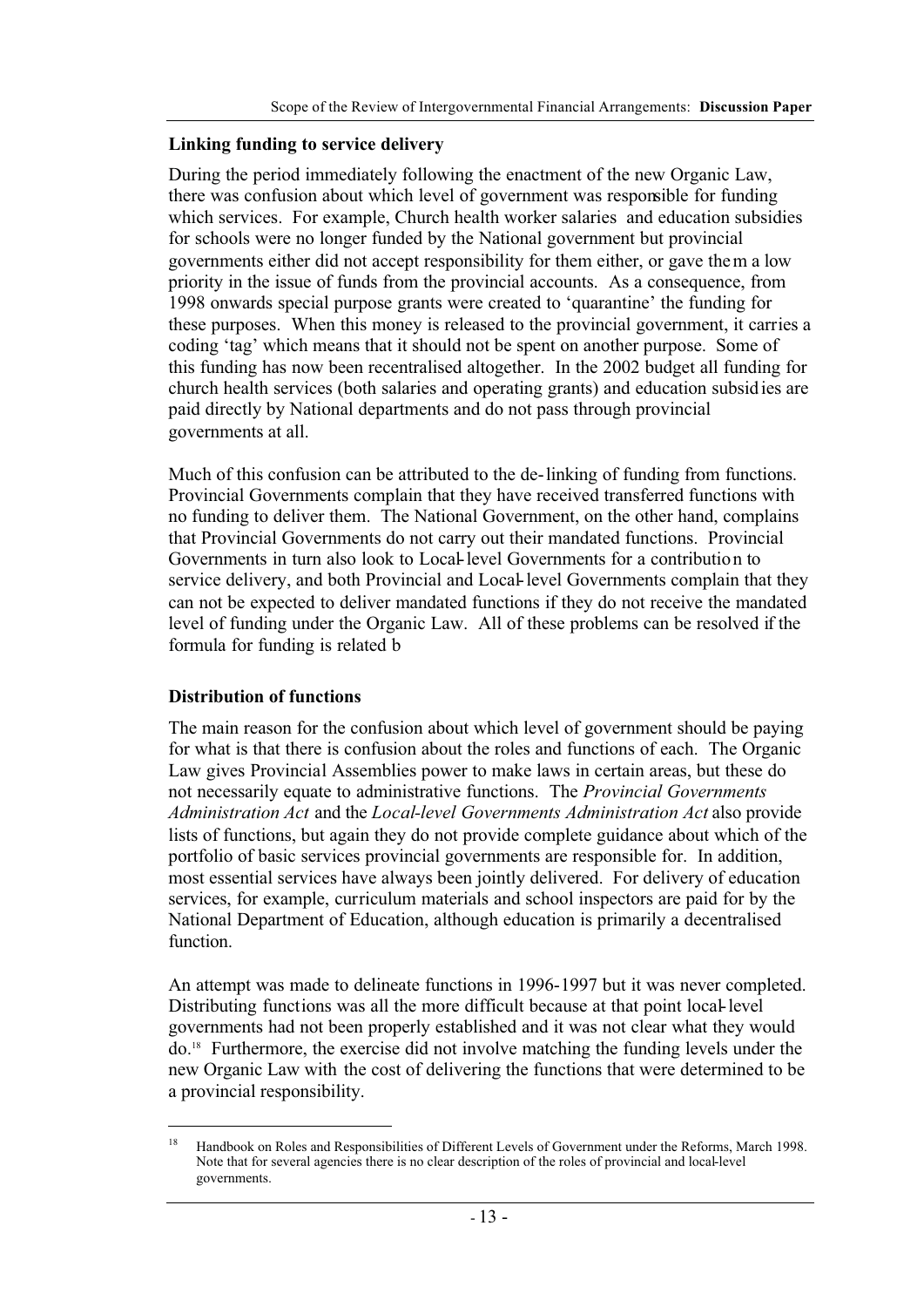#### **Linking funding to service delivery**

During the period immediately following the enactment of the new Organic Law, there was confusion about which level of government was responsible for funding which services. For example, Church health worker salaries and education subsidies for schools were no longer funded by the National government but provincial governments either did not accept responsibility for them either, or gave them a low priority in the issue of funds from the provincial accounts. As a consequence, from 1998 onwards special purpose grants were created to 'quarantine' the funding for these purposes. When this money is released to the provincial government, it carries a coding 'tag' which means that it should not be spent on another purpose. Some of this funding has now been recentralised altogether. In the 2002 budget all funding for church health services (both salaries and operating grants) and education subsidies are paid directly by National departments and do not pass through provincial governments at all.

Much of this confusion can be attributed to the de-linking of funding from functions. Provincial Governments complain that they have received transferred functions with no funding to deliver them. The National Government, on the other hand, complains that Provincial Governments do not carry out their mandated functions. Provincial Governments in turn also look to Local-level Governments for a contribution to service delivery, and both Provincial and Local-level Governments complain that they can not be expected to deliver mandated functions if they do not receive the mandated level of funding under the Organic Law. All of these problems can be resolved if the formula for funding is related b

#### **Distribution of functions**

The main reason for the confusion about which level of government should be paying for what is that there is confusion about the roles and functions of each. The Organic Law gives Provincial Assemblies power to make laws in certain areas, but these do not necessarily equate to administrative functions. The *Provincial Governments Administration Act* and the *Local-level Governments Administration Act* also provide lists of functions, but again they do not provide complete guidance about which of the portfolio of basic services provincial governments are responsible for. In addition, most essential services have always been jointly delivered. For delivery of education services, for example, curriculum materials and school inspectors are paid for by the National Department of Education, although education is primarily a decentralised function.

An attempt was made to delineate functions in 1996-1997 but it was never completed. Distributing functions was all the more difficult because at that point local-level governments had not been properly established and it was not clear what they would do.18 Furthermore, the exercise did not involve matching the funding levels under the new Organic Law with the cost of delivering the functions that were determined to be a provincial responsibility.

<sup>&</sup>lt;sup>18</sup> Handbook on Roles and Responsibilities of Different Levels of Government under the Reforms, March 1998. Note that for several agencies there is no clear description of the roles of provincial and local-level governments.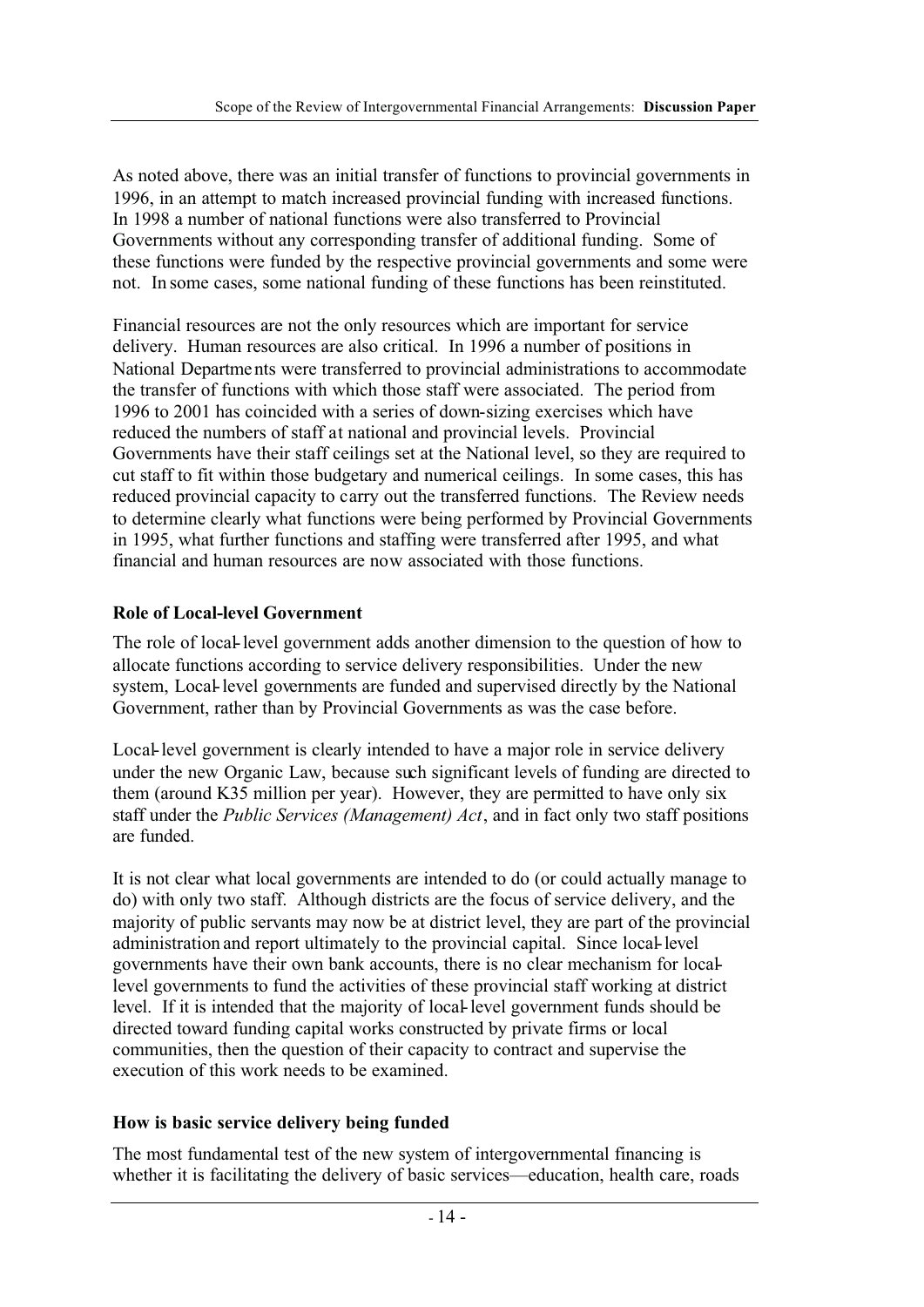As noted above, there was an initial transfer of functions to provincial governments in 1996, in an attempt to match increased provincial funding with increased functions. In 1998 a number of national functions were also transferred to Provincial Governments without any corresponding transfer of additional funding. Some of these functions were funded by the respective provincial governments and some were not. In some cases, some national funding of these functions has been reinstituted.

Financial resources are not the only resources which are important for service delivery. Human resources are also critical. In 1996 a number of positions in National Departments were transferred to provincial administrations to accommodate the transfer of functions with which those staff were associated. The period from 1996 to 2001 has coincided with a series of down-sizing exercises which have reduced the numbers of staff at national and provincial levels. Provincial Governments have their staff ceilings set at the National level, so they are required to cut staff to fit within those budgetary and numerical ceilings. In some cases, this has reduced provincial capacity to carry out the transferred functions. The Review needs to determine clearly what functions were being performed by Provincial Governments in 1995, what further functions and staffing were transferred after 1995, and what financial and human resources are now associated with those functions.

## **Role of Local-level Government**

The role of local-level government adds another dimension to the question of how to allocate functions according to service delivery responsibilities. Under the new system, Local-level governments are funded and supervised directly by the National Government, rather than by Provincial Governments as was the case before.

Local-level government is clearly intended to have a major role in service delivery under the new Organic Law, because such significant levels of funding are directed to them (around K35 million per year). However, they are permitted to have only six staff under the *Public Services (Management) Act*, and in fact only two staff positions are funded.

It is not clear what local governments are intended to do (or could actually manage to do) with only two staff. Although districts are the focus of service delivery, and the majority of public servants may now be at district level, they are part of the provincial administration and report ultimately to the provincial capital. Since local-level governments have their own bank accounts, there is no clear mechanism for locallevel governments to fund the activities of these provincial staff working at district level. If it is intended that the majority of local-level government funds should be directed toward funding capital works constructed by private firms or local communities, then the question of their capacity to contract and supervise the execution of this work needs to be examined.

## **How is basic service delivery being funded**

The most fundamental test of the new system of intergovernmental financing is whether it is facilitating the delivery of basic services—education, health care, roads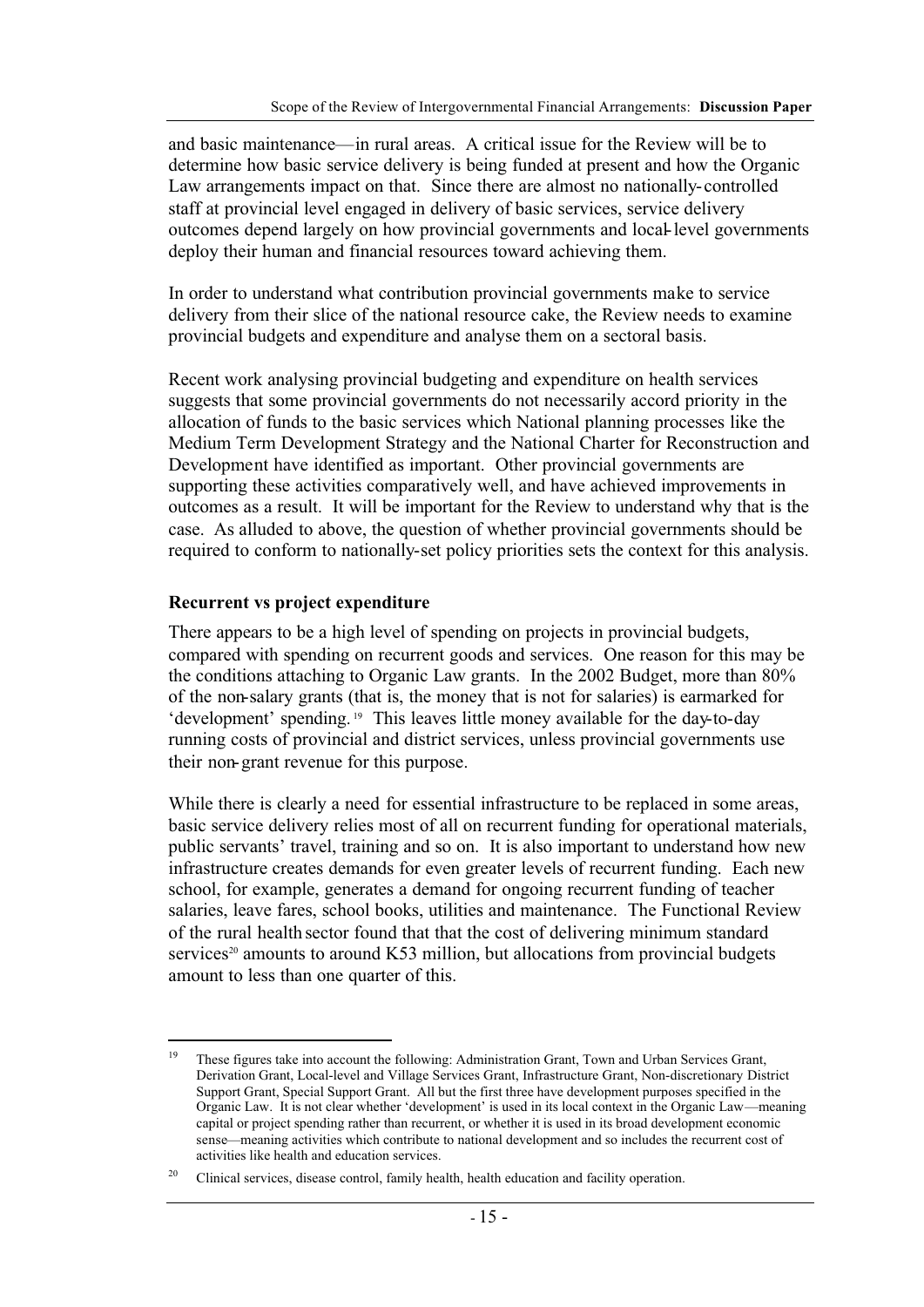and basic maintenance—in rural areas. A critical issue for the Review will be to determine how basic service delivery is being funded at present and how the Organic Law arrangements impact on that. Since there are almost no nationally-controlled staff at provincial level engaged in delivery of basic services, service delivery outcomes depend largely on how provincial governments and local-level governments deploy their human and financial resources toward achieving them.

In order to understand what contribution provincial governments make to service delivery from their slice of the national resource cake, the Review needs to examine provincial budgets and expenditure and analyse them on a sectoral basis.

Recent work analysing provincial budgeting and expenditure on health services suggests that some provincial governments do not necessarily accord priority in the allocation of funds to the basic services which National planning processes like the Medium Term Development Strategy and the National Charter for Reconstruction and Development have identified as important. Other provincial governments are supporting these activities comparatively well, and have achieved improvements in outcomes as a result. It will be important for the Review to understand why that is the case. As alluded to above, the question of whether provincial governments should be required to conform to nationally-set policy priorities sets the context for this analysis.

#### **Recurrent vs project expenditure**

There appears to be a high level of spending on projects in provincial budgets, compared with spending on recurrent goods and services. One reason for this may be the conditions attaching to Organic Law grants. In the 2002 Budget, more than 80% of the non-salary grants (that is, the money that is not for salaries) is earmarked for 'development' spending. 19 This leaves little money available for the day-to-day running costs of provincial and district services, unless provincial governments use their non-grant revenue for this purpose.

While there is clearly a need for essential infrastructure to be replaced in some areas, basic service delivery relies most of all on recurrent funding for operational materials, public servants' travel, training and so on. It is also important to understand how new infrastructure creates demands for even greater levels of recurrent funding. Each new school, for example, generates a demand for ongoing recurrent funding of teacher salaries, leave fares, school books, utilities and maintenance. The Functional Review of the rural health sector found that that the cost of delivering minimum standard services<sup>20</sup> amounts to around K53 million, but allocations from provincial budgets amount to less than one quarter of this.

<sup>&</sup>lt;sup>19</sup> These figures take into account the following: Administration Grant, Town and Urban Services Grant, Derivation Grant, Local-level and Village Services Grant, Infrastructure Grant, Non-discretionary District Support Grant, Special Support Grant. All but the first three have development purposes specified in the Organic Law. It is not clear whether 'development' is used in its local context in the Organic Law—meaning capital or project spending rather than recurrent, or whether it is used in its broad development economic sense—meaning activities which contribute to national development and so includes the recurrent cost of activities like health and education services.

<sup>&</sup>lt;sup>20</sup> Clinical services, disease control, family health, health education and facility operation.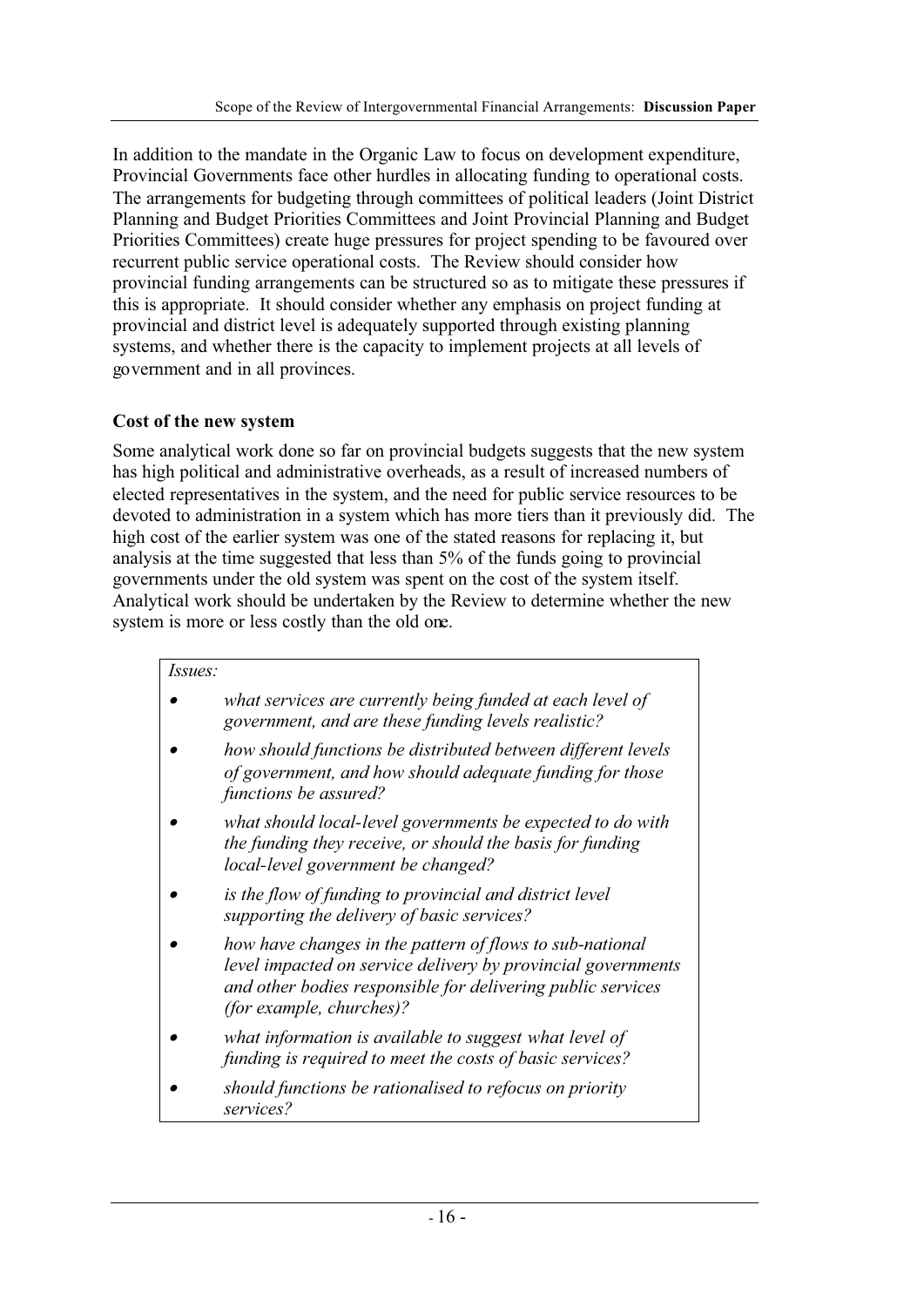In addition to the mandate in the Organic Law to focus on development expenditure, Provincial Governments face other hurdles in allocating funding to operational costs. The arrangements for budgeting through committees of political leaders (Joint District Planning and Budget Priorities Committees and Joint Provincial Planning and Budget Priorities Committees) create huge pressures for project spending to be favoured over recurrent public service operational costs. The Review should consider how provincial funding arrangements can be structured so as to mitigate these pressures if this is appropriate. It should consider whether any emphasis on project funding at provincial and district level is adequately supported through existing planning systems, and whether there is the capacity to implement projects at all levels of government and in all provinces.

## **Cost of the new system**

Some analytical work done so far on provincial budgets suggests that the new system has high political and administrative overheads, as a result of increased numbers of elected representatives in the system, and the need for public service resources to be devoted to administration in a system which has more tiers than it previously did. The high cost of the earlier system was one of the stated reasons for replacing it, but analysis at the time suggested that less than 5% of the funds going to provincial governments under the old system was spent on the cost of the system itself. Analytical work should be undertaken by the Review to determine whether the new system is more or less costly than the old one.

| <i>Issues:</i> |                                                                                                                                                                                                                            |
|----------------|----------------------------------------------------------------------------------------------------------------------------------------------------------------------------------------------------------------------------|
|                | what services are currently being funded at each level of<br>government, and are these funding levels realistic?                                                                                                           |
|                | how should functions be distributed between different levels<br>of government, and how should adequate funding for those<br>functions be assured?                                                                          |
|                | what should local-level governments be expected to do with<br>the funding they receive, or should the basis for funding<br>local-level government be changed?                                                              |
|                | is the flow of funding to provincial and district level<br>supporting the delivery of basic services?                                                                                                                      |
|                | how have changes in the pattern of flows to sub-national<br>level impacted on service delivery by provincial governments<br>and other bodies responsible for delivering public services<br><i>(for example, churches)?</i> |
|                | what information is available to suggest what level of<br>funding is required to meet the costs of basic services?                                                                                                         |
|                | should functions be rationalised to refocus on priority<br>services?                                                                                                                                                       |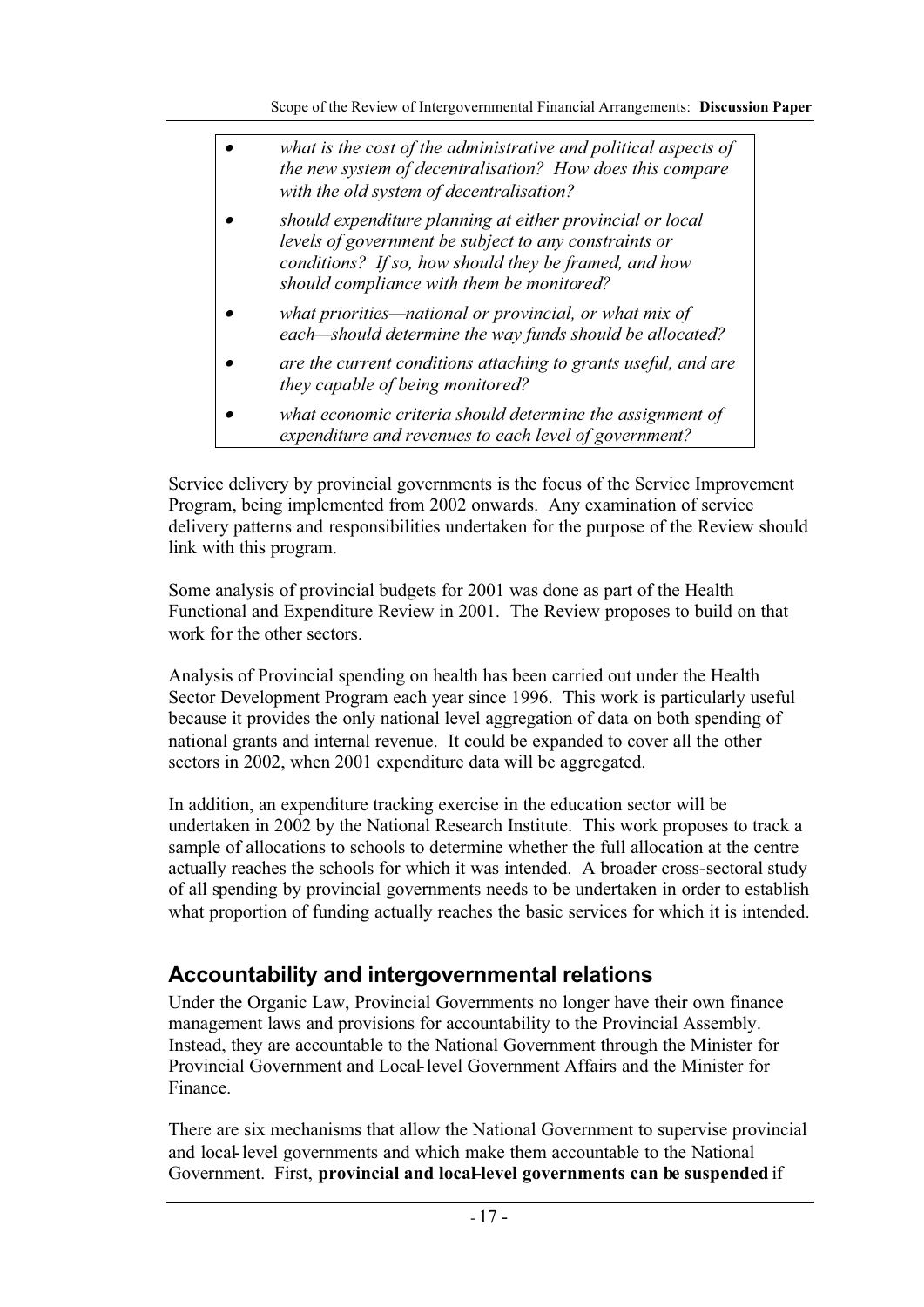| what is the cost of the administrative and political aspects of<br>the new system of decentralisation? How does this compare<br>with the old system of decentralisation?                                                 |
|--------------------------------------------------------------------------------------------------------------------------------------------------------------------------------------------------------------------------|
| should expenditure planning at either provincial or local<br>levels of government be subject to any constraints or<br>conditions? If so, how should they be framed, and how<br>should compliance with them be monitored? |
| what priorities—national or provincial, or what mix of<br>each-should determine the way funds should be allocated?                                                                                                       |
| are the current conditions attaching to grants useful, and are<br>they capable of being monitored?                                                                                                                       |
| what economic criteria should determine the assignment of<br>expenditure and revenues to each level of government?                                                                                                       |

Service delivery by provincial governments is the focus of the Service Improvement Program, being implemented from 2002 onwards. Any examination of service delivery patterns and responsibilities undertaken for the purpose of the Review should link with this program.

Some analysis of provincial budgets for 2001 was done as part of the Health Functional and Expenditure Review in 2001. The Review proposes to build on that work for the other sectors.

Analysis of Provincial spending on health has been carried out under the Health Sector Development Program each year since 1996. This work is particularly useful because it provides the only national level aggregation of data on both spending of national grants and internal revenue. It could be expanded to cover all the other sectors in 2002, when 2001 expenditure data will be aggregated.

In addition, an expenditure tracking exercise in the education sector will be undertaken in 2002 by the National Research Institute. This work proposes to track a sample of allocations to schools to determine whether the full allocation at the centre actually reaches the schools for which it was intended. A broader cross-sectoral study of all spending by provincial governments needs to be undertaken in order to establish what proportion of funding actually reaches the basic services for which it is intended.

## **Accountability and intergovernmental relations**

Under the Organic Law, Provincial Governments no longer have their own finance management laws and provisions for accountability to the Provincial Assembly. Instead, they are accountable to the National Government through the Minister for Provincial Government and Local-level Government Affairs and the Minister for Finance.

There are six mechanisms that allow the National Government to supervise provincial and local-level governments and which make them accountable to the National Government. First, **provincial and local-level governments can be suspended** if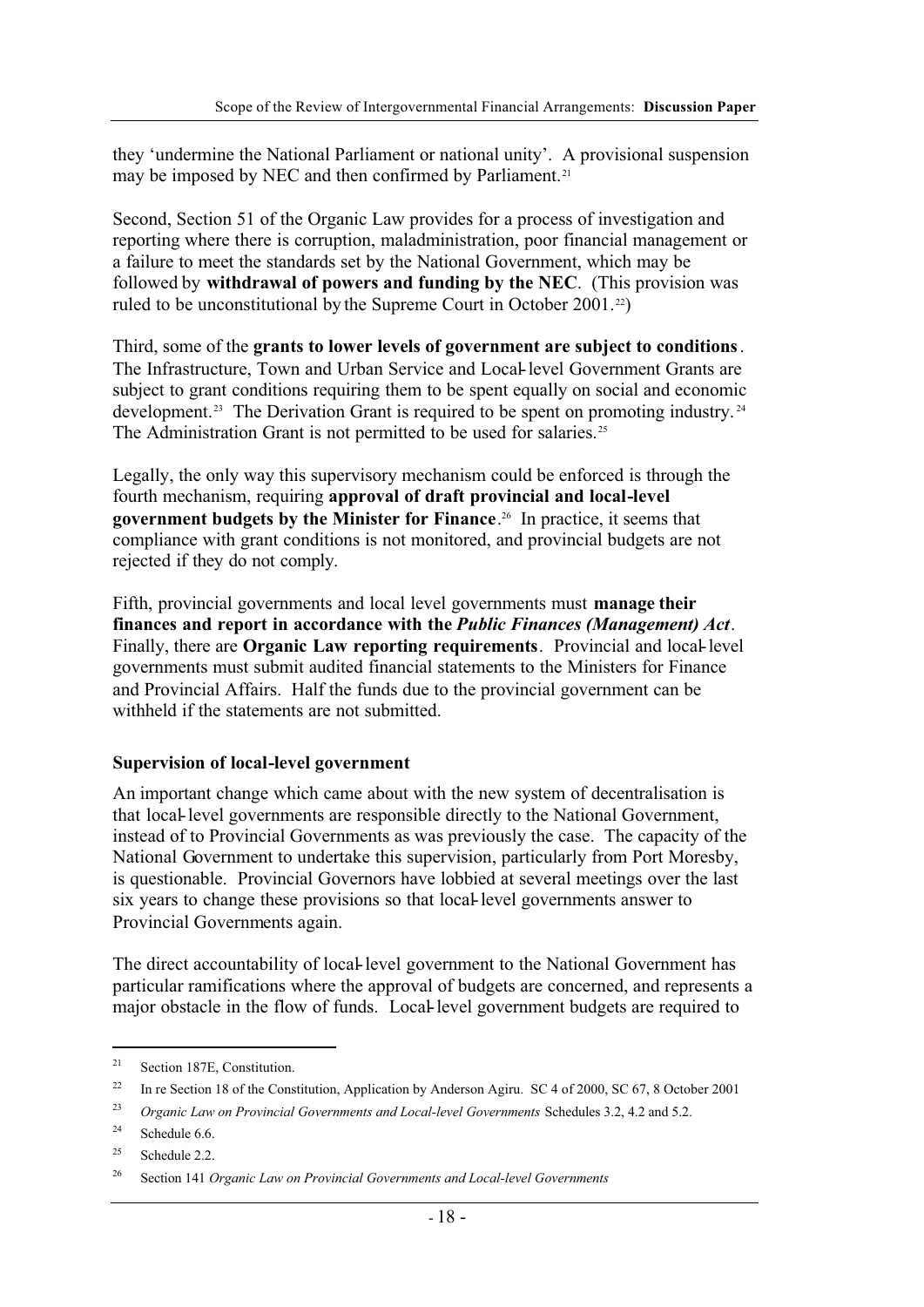they 'undermine the National Parliament or national unity'. A provisional suspension may be imposed by NEC and then confirmed by Parliament.<sup>21</sup>

Second, Section 51 of the Organic Law provides for a process of investigation and reporting where there is corruption, maladministration, poor financial management or a failure to meet the standards set by the National Government, which may be followed by **withdrawal of powers and funding by the NEC**. (This provision was ruled to be unconstitutional by the Supreme Court in October 2001.<sup>22</sup>)

Third, some of the **grants to lower levels of government are subject to conditions**. The Infrastructure, Town and Urban Service and Local-level Government Grants are subject to grant conditions requiring them to be spent equally on social and economic development.<sup>23</sup> The Derivation Grant is required to be spent on promoting industry.<sup>24</sup> The Administration Grant is not permitted to be used for salaries.<sup>25</sup>

Legally, the only way this supervisory mechanism could be enforced is through the fourth mechanism, requiring **approval of draft provincial and local-level government budgets by the Minister for Finance**. 26 In practice, it seems that compliance with grant conditions is not monitored, and provincial budgets are not rejected if they do not comply.

Fifth, provincial governments and local level governments must **manage their finances and report in accordance with the** *Public Finances (Management) Act*. Finally, there are **Organic Law reporting requirements**. Provincial and local-level governments must submit audited financial statements to the Ministers for Finance and Provincial Affairs. Half the funds due to the provincial government can be withheld if the statements are not submitted.

#### **Supervision of local-level government**

An important change which came about with the new system of decentralisation is that local-level governments are responsible directly to the National Government, instead of to Provincial Governments as was previously the case. The capacity of the National Government to undertake this supervision, particularly from Port Moresby, is questionable. Provincial Governors have lobbied at several meetings over the last six years to change these provisions so that local-level governments answer to Provincial Governments again.

The direct accountability of local-level government to the National Government has particular ramifications where the approval of budgets are concerned, and represents a major obstacle in the flow of funds. Local-level government budgets are required to

<sup>21</sup> Section 187E, Constitution.

<sup>&</sup>lt;sup>22</sup> In re Section 18 of the Constitution, Application by Anderson Agiru. SC 4 of 2000, SC 67, 8 October 2001

<sup>23</sup> *Organic Law on Provincial Governments and Local-level Governments* Schedules 3.2, 4.2 and 5.2.

<sup>&</sup>lt;sup>24</sup> Schedule  $6.6$ .

<sup>&</sup>lt;sup>25</sup> Schedule 2.2.

<sup>26</sup> Section 141 *Organic Law on Provincial Governments and Local-level Governments*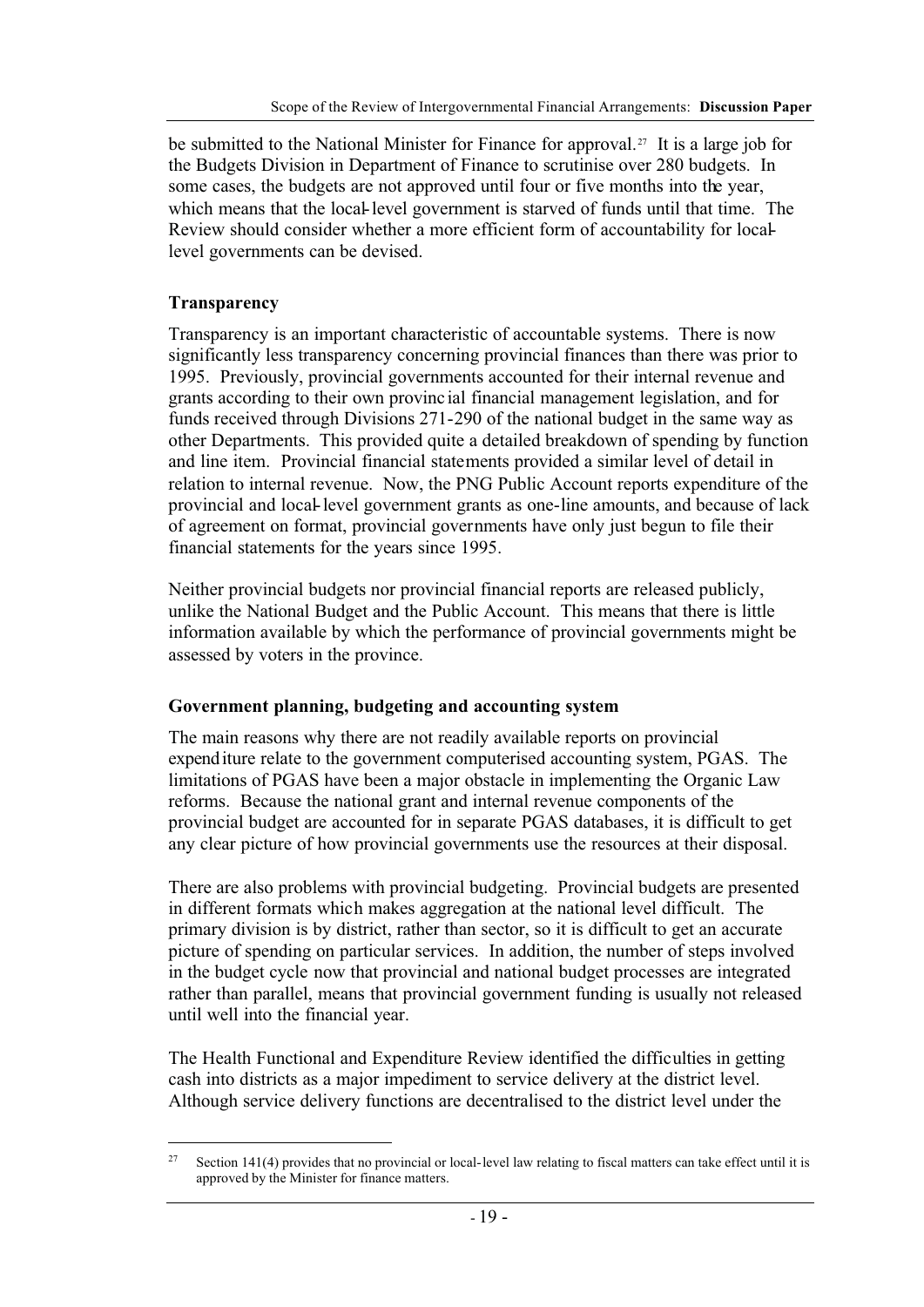be submitted to the National Minister for Finance for approval.<sup>27</sup> It is a large job for the Budgets Division in Department of Finance to scrutinise over 280 budgets. In some cases, the budgets are not approved until four or five months into the year, which means that the local-level government is starved of funds until that time. The Review should consider whether a more efficient form of accountability for locallevel governments can be devised.

## **Transparency**

Transparency is an important characteristic of accountable systems. There is now significantly less transparency concerning provincial finances than there was prior to 1995. Previously, provincial governments accounted for their internal revenue and grants according to their own provincial financial management legislation, and for funds received through Divisions 271-290 of the national budget in the same way as other Departments. This provided quite a detailed breakdown of spending by function and line item. Provincial financial statements provided a similar level of detail in relation to internal revenue. Now, the PNG Public Account reports expenditure of the provincial and local-level government grants as one-line amounts, and because of lack of agreement on format, provincial governments have only just begun to file their financial statements for the years since 1995.

Neither provincial budgets nor provincial financial reports are released publicly, unlike the National Budget and the Public Account. This means that there is little information available by which the performance of provincial governments might be assessed by voters in the province.

## **Government planning, budgeting and accounting system**

The main reasons why there are not readily available reports on provincial expenditure relate to the government computerised accounting system, PGAS. The limitations of PGAS have been a major obstacle in implementing the Organic Law reforms. Because the national grant and internal revenue components of the provincial budget are accounted for in separate PGAS databases, it is difficult to get any clear picture of how provincial governments use the resources at their disposal.

There are also problems with provincial budgeting. Provincial budgets are presented in different formats which makes aggregation at the national level difficult. The primary division is by district, rather than sector, so it is difficult to get an accurate picture of spending on particular services. In addition, the number of steps involved in the budget cycle now that provincial and national budget processes are integrated rather than parallel, means that provincial government funding is usually not released until well into the financial year.

The Health Functional and Expenditure Review identified the difficulties in getting cash into districts as a major impediment to service delivery at the district level. Although service delivery functions are decentralised to the district level under the

Section 141(4) provides that no provincial or local-level law relating to fiscal matters can take effect until it is approved by the Minister for finance matters.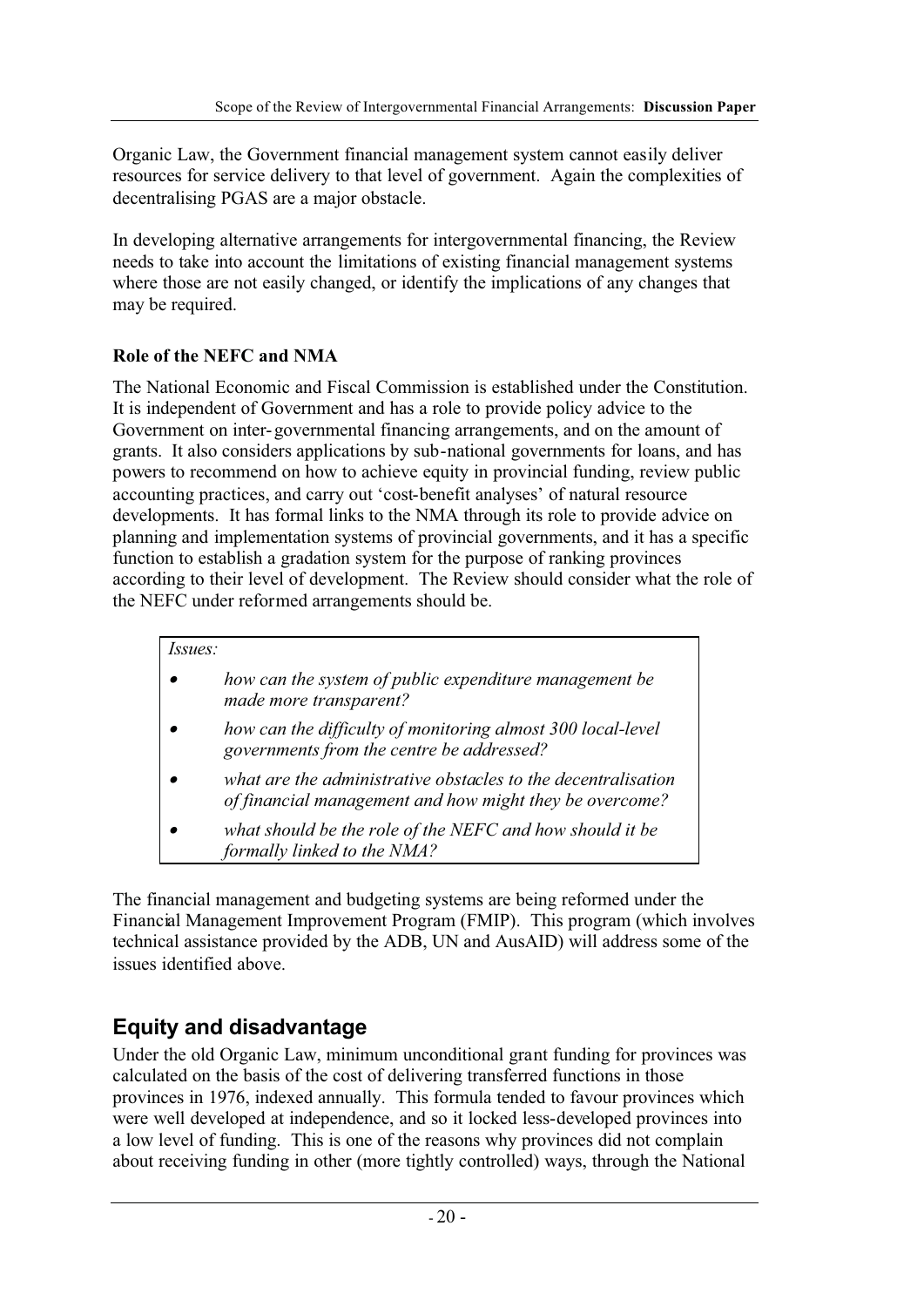Organic Law, the Government financial management system cannot easily deliver resources for service delivery to that level of government. Again the complexities of decentralising PGAS are a major obstacle.

In developing alternative arrangements for intergovernmental financing, the Review needs to take into account the limitations of existing financial management systems where those are not easily changed, or identify the implications of any changes that may be required.

## **Role of the NEFC and NMA**

The National Economic and Fiscal Commission is established under the Constitution. It is independent of Government and has a role to provide policy advice to the Government on inter-governmental financing arrangements, and on the amount of grants. It also considers applications by sub-national governments for loans, and has powers to recommend on how to achieve equity in provincial funding, review public accounting practices, and carry out 'cost-benefit analyses' of natural resource developments. It has formal links to the NMA through its role to provide advice on planning and implementation systems of provincial governments, and it has a specific function to establish a gradation system for the purpose of ranking provinces according to their level of development. The Review should consider what the role of the NEFC under reformed arrangements should be.

#### *Issues:*

- • *how can the system of public expenditure management be made more transparent?*
- • *how can the difficulty of monitoring almost 300 local-level governments from the centre be addressed?*
- • *what are the administrative obstacles to the decentralisation of financial management and how might they be overcome?*
- • *what should be the role of the NEFC and how should it be formally linked to the NMA?*

The financial management and budgeting systems are being reformed under the Financial Management Improvement Program (FMIP). This program (which involves technical assistance provided by the ADB, UN and AusAID) will address some of the issues identified above.

# **Equity and disadvantage**

Under the old Organic Law, minimum unconditional grant funding for provinces was calculated on the basis of the cost of delivering transferred functions in those provinces in 1976, indexed annually. This formula tended to favour provinces which were well developed at independence, and so it locked less-developed provinces into a low level of funding. This is one of the reasons why provinces did not complain about receiving funding in other (more tightly controlled) ways, through the National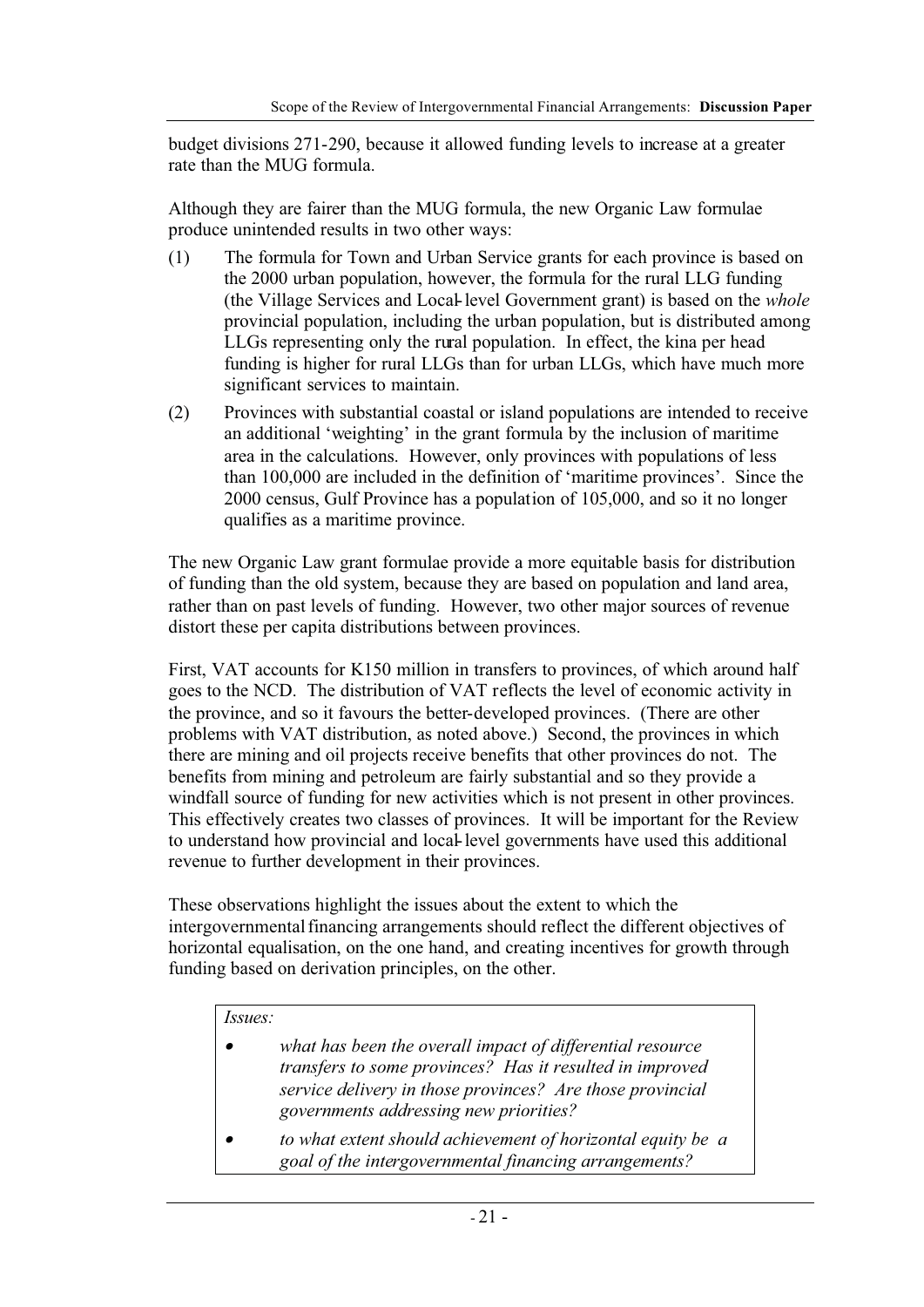budget divisions 271-290, because it allowed funding levels to increase at a greater rate than the MUG formula.

Although they are fairer than the MUG formula, the new Organic Law formulae produce unintended results in two other ways:

- (1) The formula for Town and Urban Service grants for each province is based on the 2000 urban population, however, the formula for the rural LLG funding (the Village Services and Local-level Government grant) is based on the *whole* provincial population, including the urban population, but is distributed among LLGs representing only the rural population. In effect, the kina per head funding is higher for rural LLGs than for urban LLGs, which have much more significant services to maintain.
- (2) Provinces with substantial coastal or island populations are intended to receive an additional 'weighting' in the grant formula by the inclusion of maritime area in the calculations. However, only provinces with populations of less than 100,000 are included in the definition of 'maritime provinces'. Since the 2000 census, Gulf Province has a population of 105,000, and so it no longer qualifies as a maritime province.

The new Organic Law grant formulae provide a more equitable basis for distribution of funding than the old system, because they are based on population and land area, rather than on past levels of funding. However, two other major sources of revenue distort these per capita distributions between provinces.

First, VAT accounts for K150 million in transfers to provinces, of which around half goes to the NCD. The distribution of VAT reflects the level of economic activity in the province, and so it favours the better-developed provinces. (There are other problems with VAT distribution, as noted above.) Second, the provinces in which there are mining and oil projects receive benefits that other provinces do not. The benefits from mining and petroleum are fairly substantial and so they provide a windfall source of funding for new activities which is not present in other provinces. This effectively creates two classes of provinces. It will be important for the Review to understand how provincial and local-level governments have used this additional revenue to further development in their provinces.

These observations highlight the issues about the extent to which the intergovernmental financing arrangements should reflect the different objectives of horizontal equalisation, on the one hand, and creating incentives for growth through funding based on derivation principles, on the other.

#### *Issues:*

- • *what has been the overall impact of differential resource transfers to some provinces? Has it resulted in improved service delivery in those provinces? Are those provincial governments addressing new priorities?*
- • *to what extent should achievement of horizontal equity be a goal of the intergovernmental financing arrangements?*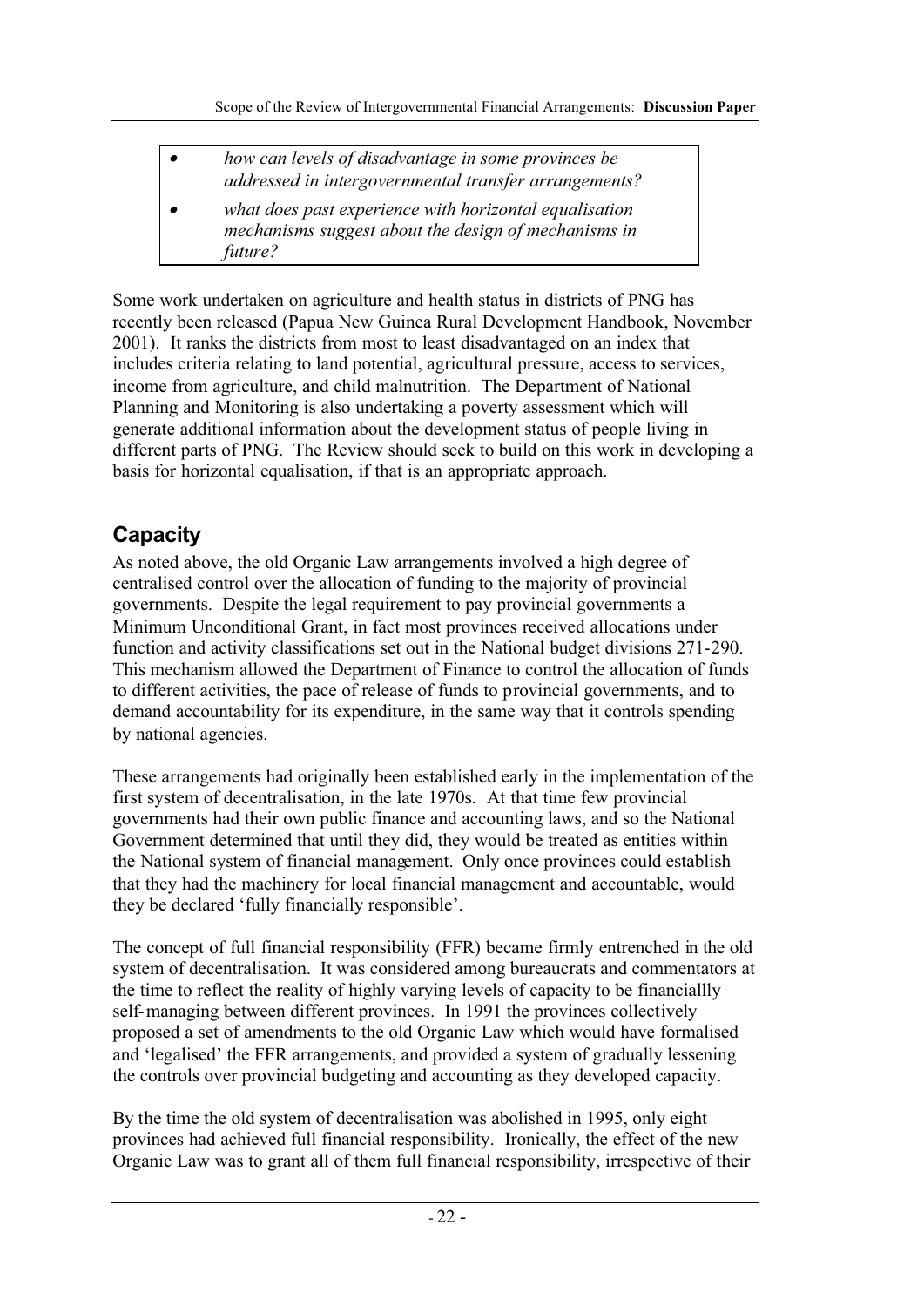• *how can levels of disadvantage in some provinces be addressed in intergovernmental transfer arrangements?* • *what does past experience with horizontal equalisation mechanisms suggest about the design of mechanisms in*

Some work undertaken on agriculture and health status in districts of PNG has recently been released (Papua New Guinea Rural Development Handbook, November 2001). It ranks the districts from most to least disadvantaged on an index that includes criteria relating to land potential, agricultural pressure, access to services, income from agriculture, and child malnutrition. The Department of National Planning and Monitoring is also undertaking a poverty assessment which will generate additional information about the development status of people living in different parts of PNG. The Review should seek to build on this work in developing a basis for horizontal equalisation, if that is an appropriate approach.

# **Capacity**

*future?*

As noted above, the old Organic Law arrangements involved a high degree of centralised control over the allocation of funding to the majority of provincial governments. Despite the legal requirement to pay provincial governments a Minimum Unconditional Grant, in fact most provinces received allocations under function and activity classifications set out in the National budget divisions 271-290. This mechanism allowed the Department of Finance to control the allocation of funds to different activities, the pace of release of funds to provincial governments, and to demand accountability for its expenditure, in the same way that it controls spending by national agencies.

These arrangements had originally been established early in the implementation of the first system of decentralisation, in the late 1970s. At that time few provincial governments had their own public finance and accounting laws, and so the National Government determined that until they did, they would be treated as entities within the National system of financial management. Only once provinces could establish that they had the machinery for local financial management and accountable, would they be declared 'fully financially responsible'.

The concept of full financial responsibility (FFR) became firmly entrenched in the old system of decentralisation. It was considered among bureaucrats and commentators at the time to reflect the reality of highly varying levels of capacity to be financiallly self-managing between different provinces. In 1991 the provinces collectively proposed a set of amendments to the old Organic Law which would have formalised and 'legalised' the FFR arrangements, and provided a system of gradually lessening the controls over provincial budgeting and accounting as they developed capacity.

By the time the old system of decentralisation was abolished in 1995, only eight provinces had achieved full financial responsibility. Ironically, the effect of the new Organic Law was to grant all of them full financial responsibility, irrespective of their